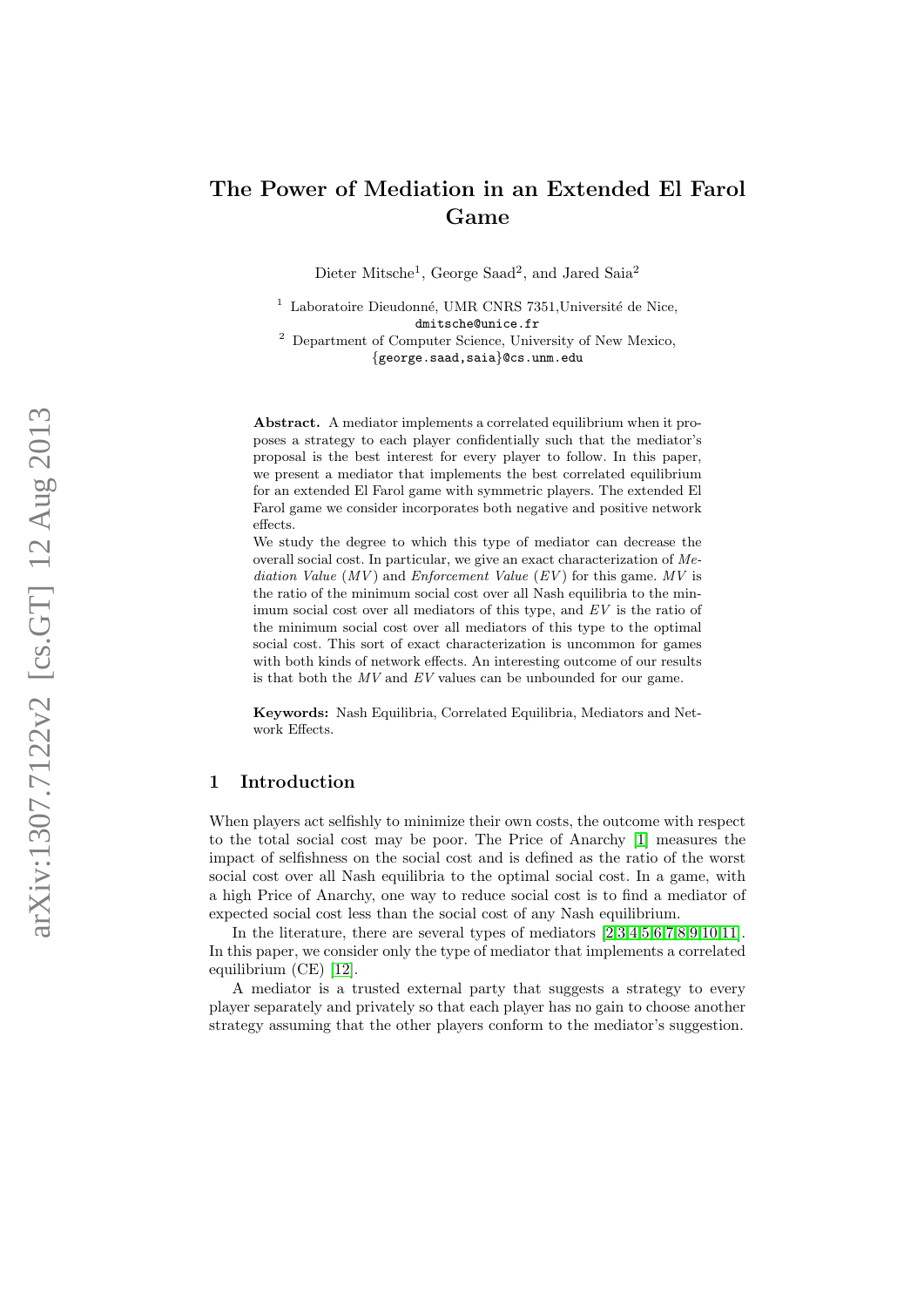# The Power of Mediation in an Extended El Farol Game

Dieter Mitsche<sup>1</sup>, George Saad<sup>2</sup>, and Jared Saia<sup>2</sup>

 $1$  Laboratoire Dieudonné, UMR CNRS 7351, Université de Nice, dmitsche@unice.fr

<sup>2</sup> Department of Computer Science, University of New Mexico, {george.saad,saia}@cs.unm.edu

Abstract. A mediator implements a correlated equilibrium when it proposes a strategy to each player confidentially such that the mediator's proposal is the best interest for every player to follow. In this paper, we present a mediator that implements the best correlated equilibrium for an extended El Farol game with symmetric players. The extended El Farol game we consider incorporates both negative and positive network effects.

We study the degree to which this type of mediator can decrease the overall social cost. In particular, we give an exact characterization of Mediation Value  $(MV)$  and Enforcement Value  $(EV)$  for this game. MV is the ratio of the minimum social cost over all Nash equilibria to the minimum social cost over all mediators of this type, and  $EV$  is the ratio of the minimum social cost over all mediators of this type to the optimal social cost. This sort of exact characterization is uncommon for games with both kinds of network effects. An interesting outcome of our results is that both the  $MV$  and  $EV$  values can be unbounded for our game.

Keywords: Nash Equilibria, Correlated Equilibria, Mediators and Network Effects.

# 1 Introduction

When players act selfishly to minimize their own costs, the outcome with respect to the total social cost may be poor. The Price of Anarchy [\[1\]](#page-10-0) measures the impact of selfishness on the social cost and is defined as the ratio of the worst social cost over all Nash equilibria to the optimal social cost. In a game, with a high Price of Anarchy, one way to reduce social cost is to find a mediator of expected social cost less than the social cost of any Nash equilibrium.

In the literature, there are several types of mediators  $[2,3,4,5,6,7,8,9,10,11]$  $[2,3,4,5,6,7,8,9,10,11]$  $[2,3,4,5,6,7,8,9,10,11]$  $[2,3,4,5,6,7,8,9,10,11]$  $[2,3,4,5,6,7,8,9,10,11]$  $[2,3,4,5,6,7,8,9,10,11]$  $[2,3,4,5,6,7,8,9,10,11]$  $[2,3,4,5,6,7,8,9,10,11]$  $[2,3,4,5,6,7,8,9,10,11]$  $[2,3,4,5,6,7,8,9,10,11]$ . In this paper, we consider only the type of mediator that implements a correlated equilibrium (CE) [\[12\]](#page-10-11).

A mediator is a trusted external party that suggests a strategy to every player separately and privately so that each player has no gain to choose another strategy assuming that the other players conform to the mediator's suggestion.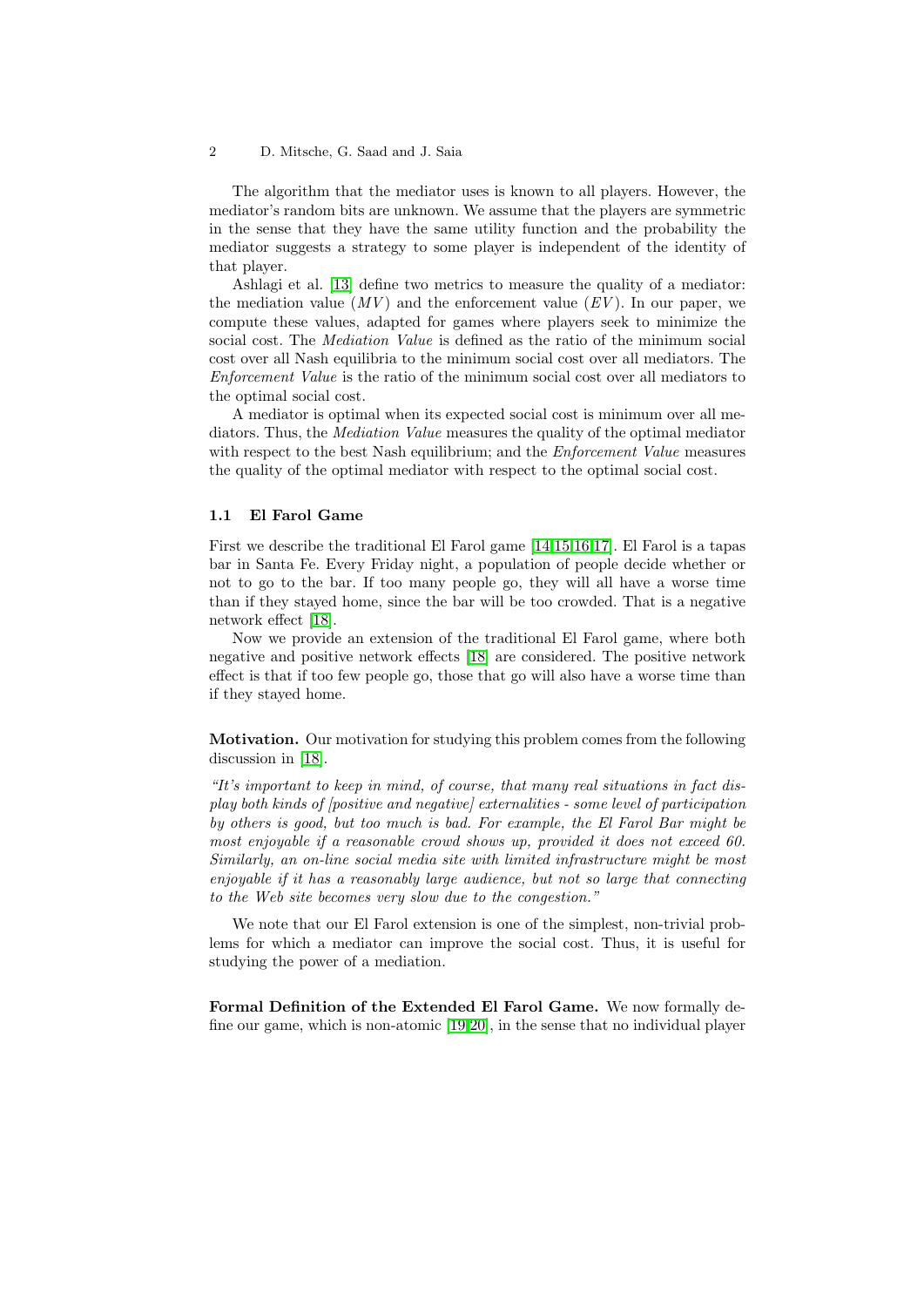The algorithm that the mediator uses is known to all players. However, the mediator's random bits are unknown. We assume that the players are symmetric in the sense that they have the same utility function and the probability the mediator suggests a strategy to some player is independent of the identity of that player.

Ashlagi et al. [\[13\]](#page-10-12) define two metrics to measure the quality of a mediator: the mediation value  $(MV)$  and the enforcement value  $(EV)$ . In our paper, we compute these values, adapted for games where players seek to minimize the social cost. The Mediation Value is defined as the ratio of the minimum social cost over all Nash equilibria to the minimum social cost over all mediators. The Enforcement Value is the ratio of the minimum social cost over all mediators to the optimal social cost.

A mediator is optimal when its expected social cost is minimum over all mediators. Thus, the Mediation Value measures the quality of the optimal mediator with respect to the best Nash equilibrium; and the *Enforcement Value* measures the quality of the optimal mediator with respect to the optimal social cost.

### 1.1 El Farol Game

First we describe the traditional El Farol game [\[14](#page-10-13)[,15,](#page-10-14)[16,](#page-11-0)[17\]](#page-11-1). El Farol is a tapas bar in Santa Fe. Every Friday night, a population of people decide whether or not to go to the bar. If too many people go, they will all have a worse time than if they stayed home, since the bar will be too crowded. That is a negative network effect [\[18\]](#page-11-2).

Now we provide an extension of the traditional El Farol game, where both negative and positive network effects [\[18\]](#page-11-2) are considered. The positive network effect is that if too few people go, those that go will also have a worse time than if they stayed home.

Motivation. Our motivation for studying this problem comes from the following discussion in [\[18\]](#page-11-2).

"It's important to keep in mind, of course, that many real situations in fact display both kinds of [positive and negative] externalities - some level of participation by others is good, but too much is bad. For example, the El Farol Bar might be most enjoyable if a reasonable crowd shows up, provided it does not exceed 60. Similarly, an on-line social media site with limited infrastructure might be most enjoyable if it has a reasonably large audience, but not so large that connecting to the Web site becomes very slow due to the congestion."

We note that our El Farol extension is one of the simplest, non-trivial problems for which a mediator can improve the social cost. Thus, it is useful for studying the power of a mediation.

Formal Definition of the Extended El Farol Game. We now formally define our game, which is non-atomic [\[19,](#page-11-3)[20\]](#page-11-4), in the sense that no individual player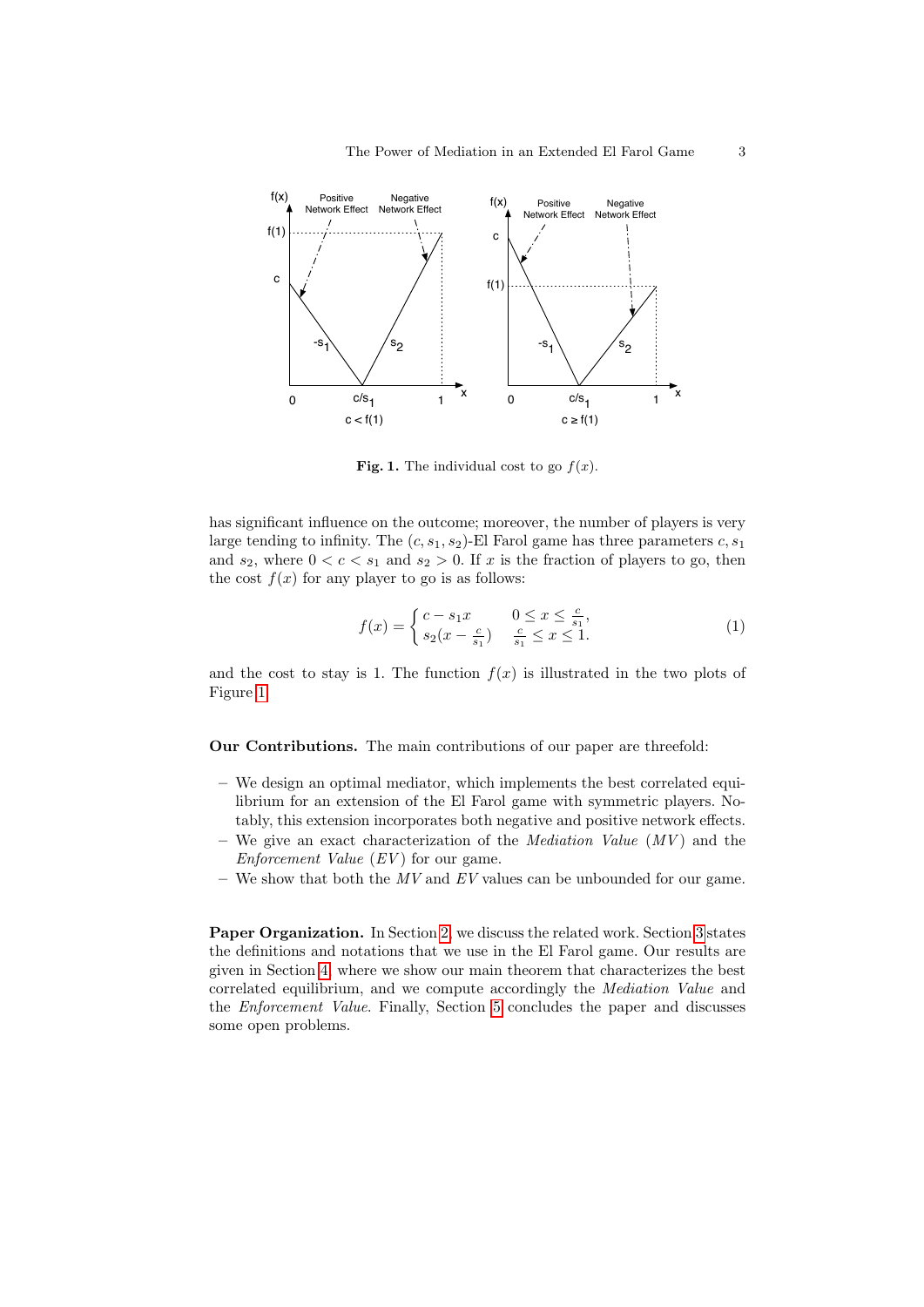

<span id="page-2-0"></span>Fig. 1. The individual cost to go  $f(x)$ .

has significant influence on the outcome; moreover, the number of players is very large tending to infinity. The  $(c, s_1, s_2)$ -El Farol game has three parameters  $c, s_1$ and  $s_2$ , where  $0 < c < s_1$  and  $s_2 > 0$ . If x is the fraction of players to go, then the cost  $f(x)$  for any player to go is as follows:

<span id="page-2-1"></span>
$$
f(x) = \begin{cases} c - s_1 x & 0 \le x \le \frac{c}{s_1}, \\ s_2 (x - \frac{c}{s_1}) & \frac{c}{s_1} \le x \le 1. \end{cases}
$$
 (1)

and the cost to stay is 1. The function  $f(x)$  is illustrated in the two plots of Figure [1.](#page-2-0)

Our Contributions. The main contributions of our paper are threefold:

- We design an optimal mediator, which implements the best correlated equilibrium for an extension of the El Farol game with symmetric players. Notably, this extension incorporates both negative and positive network effects.
- We give an exact characterization of the *Mediation Value*  $(MV)$  and the Enforcement Value  $(EV)$  for our game.
- We show that both the  $MV$  and  $EV$  values can be unbounded for our game.

Paper Organization. In Section [2,](#page-3-0) we discuss the related work. Section [3](#page-4-0) states the definitions and notations that we use in the El Farol game. Our results are given in Section [4,](#page-5-0) where we show our main theorem that characterizes the best correlated equilibrium, and we compute accordingly the Mediation Value and the Enforcement Value. Finally, Section [5](#page-9-0) concludes the paper and discusses some open problems.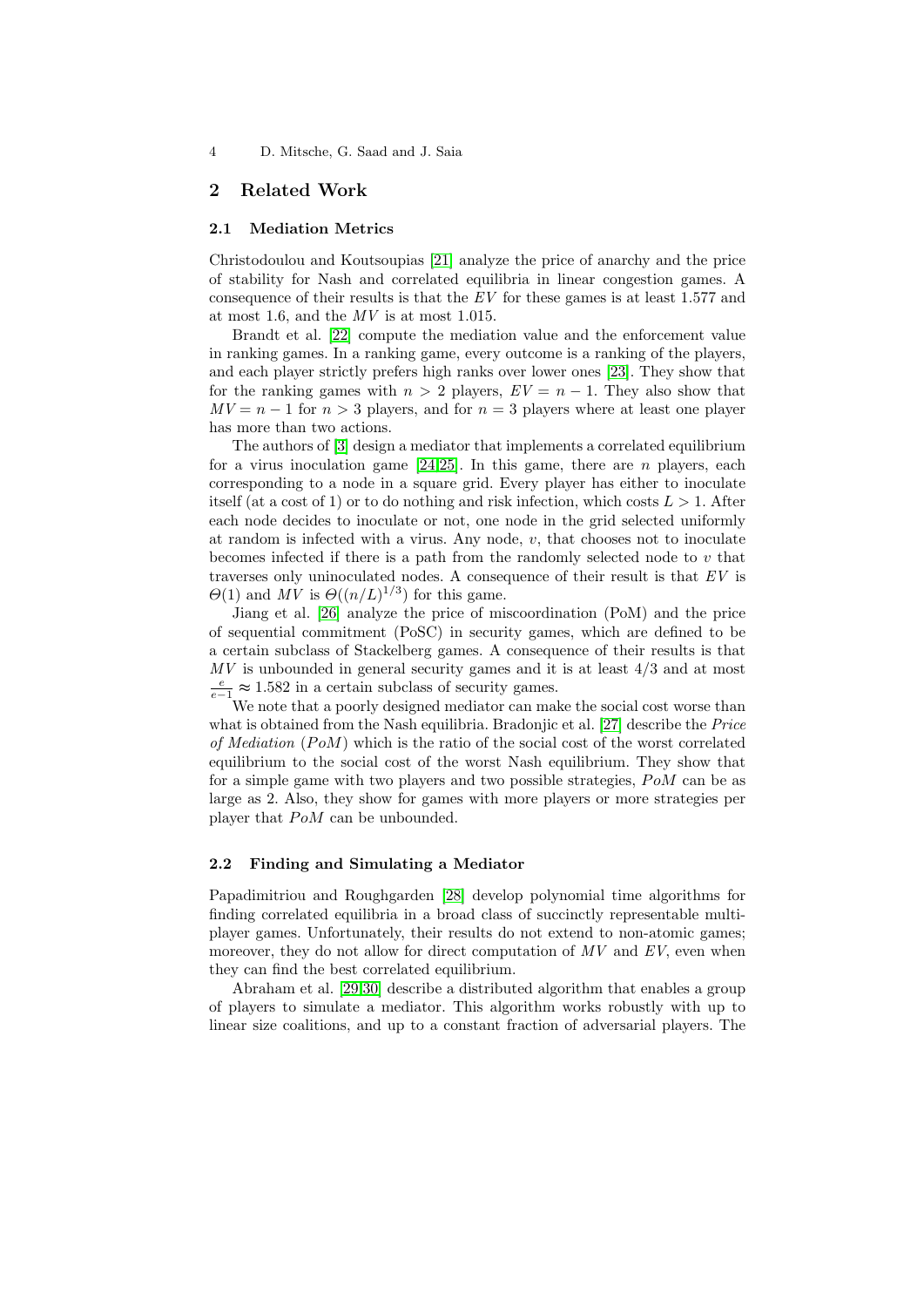### <span id="page-3-0"></span>2 Related Work

#### 2.1 Mediation Metrics

Christodoulou and Koutsoupias [\[21\]](#page-11-5) analyze the price of anarchy and the price of stability for Nash and correlated equilibria in linear congestion games. A consequence of their results is that the  $EV$  for these games is at least 1.577 and at most 1.6, and the MV is at most 1.015.

Brandt et al. [\[22\]](#page-11-6) compute the mediation value and the enforcement value in ranking games. In a ranking game, every outcome is a ranking of the players, and each player strictly prefers high ranks over lower ones [\[23\]](#page-11-7). They show that for the ranking games with  $n > 2$  players,  $EV = n - 1$ . They also show that  $MV = n - 1$  for  $n > 3$  players, and for  $n = 3$  players where at least one player has more than two actions.

The authors of [\[3\]](#page-10-2) design a mediator that implements a correlated equilibrium for a virus inoculation game  $[24,25]$  $[24,25]$ . In this game, there are *n* players, each corresponding to a node in a square grid. Every player has either to inoculate itself (at a cost of 1) or to do nothing and risk infection, which costs  $L > 1$ . After each node decides to inoculate or not, one node in the grid selected uniformly at random is infected with a virus. Any node,  $v$ , that chooses not to inoculate becomes infected if there is a path from the randomly selected node to  $v$  that traverses only uninoculated nodes. A consequence of their result is that EV is  $\Theta(1)$  and MV is  $\Theta((n/L)^{1/3})$  for this game.

Jiang et al. [\[26\]](#page-11-10) analyze the price of miscoordination (PoM) and the price of sequential commitment (PoSC) in security games, which are defined to be a certain subclass of Stackelberg games. A consequence of their results is that  $MV$  is unbounded in general security games and it is at least  $4/3$  and at most  $\frac{e}{e-1}$  ≈ 1.582 in a certain subclass of security games.

We note that a poorly designed mediator can make the social cost worse than what is obtained from the Nash equilibria. Bradonjic et al. [\[27\]](#page-11-11) describe the *Price* of Mediation  $(PoM)$  which is the ratio of the social cost of the worst correlated equilibrium to the social cost of the worst Nash equilibrium. They show that for a simple game with two players and two possible strategies,  $PoM$  can be as large as 2. Also, they show for games with more players or more strategies per player that  $PoM$  can be unbounded.

### 2.2 Finding and Simulating a Mediator

Papadimitriou and Roughgarden [\[28\]](#page-11-12) develop polynomial time algorithms for finding correlated equilibria in a broad class of succinctly representable multiplayer games. Unfortunately, their results do not extend to non-atomic games; moreover, they do not allow for direct computation of  $MV$  and  $EV$ , even when they can find the best correlated equilibrium.

Abraham et al. [\[29,](#page-11-13)[30\]](#page-11-14) describe a distributed algorithm that enables a group of players to simulate a mediator. This algorithm works robustly with up to linear size coalitions, and up to a constant fraction of adversarial players. The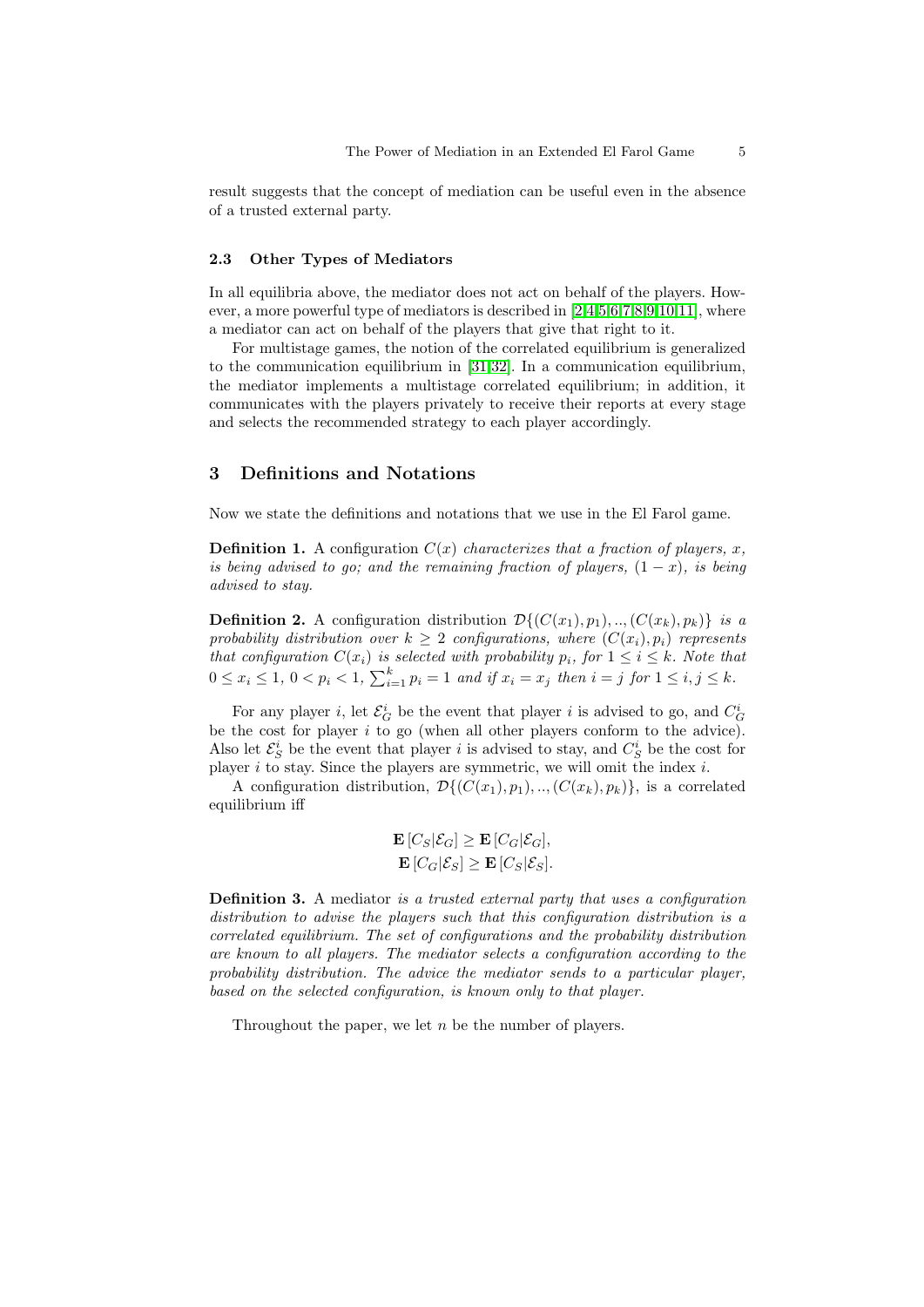result suggests that the concept of mediation can be useful even in the absence of a trusted external party.

#### 2.3 Other Types of Mediators

In all equilibria above, the mediator does not act on behalf of the players. However, a more powerful type of mediators is described in [\[2,](#page-10-1)[4,](#page-10-3)[5,](#page-10-4)[6,](#page-10-5)[7,](#page-10-6)[8,](#page-10-7)[9,](#page-10-8)[10,](#page-10-9)[11\]](#page-10-10), where a mediator can act on behalf of the players that give that right to it.

For multistage games, the notion of the correlated equilibrium is generalized to the communication equilibrium in [\[31,](#page-11-15)[32\]](#page-11-16). In a communication equilibrium, the mediator implements a multistage correlated equilibrium; in addition, it communicates with the players privately to receive their reports at every stage and selects the recommended strategy to each player accordingly.

# <span id="page-4-0"></span>3 Definitions and Notations

Now we state the definitions and notations that we use in the El Farol game.

**Definition 1.** A configuration  $C(x)$  characterizes that a fraction of players, x, is being advised to go; and the remaining fraction of players,  $(1-x)$ , is being advised to stay.

**Definition 2.** A configuration distribution  $\mathcal{D}\{(C(x_1), p_1), \ldots, (C(x_k), p_k)\}\$  is a probability distribution over  $k \geq 2$  configurations, where  $(C(x_i), p_i)$  represents that configuration  $C(x_i)$  is selected with probability  $p_i$ , for  $1 \leq i \leq k$ . Note that  $0 \le x_i \le 1, \ 0 < p_i < 1, \ \sum_{i=1}^k p_i = 1 \ and \ if \ x_i = x_j \ then \ i = j \ for \ 1 \le i, j \le k.$ 

For any player *i*, let  $\mathcal{E}_G^i$  be the event that player *i* is advised to go, and  $C_G^i$ be the cost for player i to go (when all other players conform to the advice). Also let  $\mathcal{E}_S^i$  be the event that player *i* is advised to stay, and  $C_S^i$  be the cost for player  $i$  to stay. Since the players are symmetric, we will omit the index  $i$ .

A configuration distribution,  $\mathcal{D}\{(C(x_1), p_1), \ldots, (C(x_k), p_k)\}\)$ , is a correlated equilibrium iff

$$
\mathbf{E}\left[C_S|\mathcal{E}_G\right] \geq \mathbf{E}\left[C_G|\mathcal{E}_G\right],
$$
  
\n
$$
\mathbf{E}\left[C_G|\mathcal{E}_S\right] \geq \mathbf{E}\left[C_S|\mathcal{E}_S\right].
$$

Definition 3. A mediator is a trusted external party that uses a configuration distribution to advise the players such that this configuration distribution is a correlated equilibrium. The set of configurations and the probability distribution are known to all players. The mediator selects a configuration according to the probability distribution. The advice the mediator sends to a particular player, based on the selected configuration, is known only to that player.

Throughout the paper, we let n be the number of players.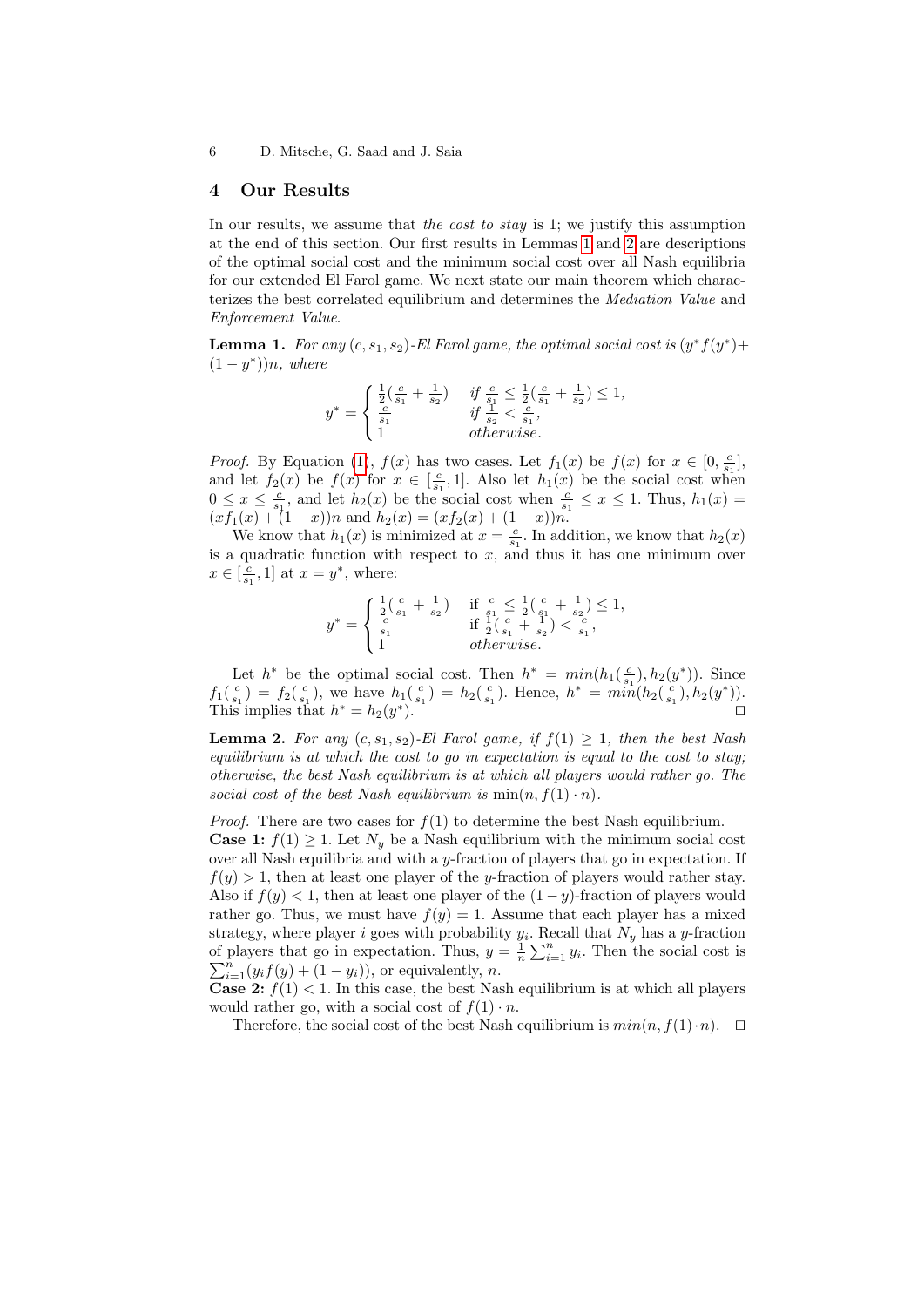### <span id="page-5-0"></span>4 Our Results

In our results, we assume that the cost to stay is 1; we justify this assumption at the end of this section. Our first results in Lemmas [1](#page-5-1) and [2](#page-5-2) are descriptions of the optimal social cost and the minimum social cost over all Nash equilibria for our extended El Farol game. We next state our main theorem which characterizes the best correlated equilibrium and determines the Mediation Value and Enforcement Value.

<span id="page-5-1"></span>**Lemma 1.** For any  $(c, s_1, s_2)$ -El Farol game, the optimal social cost is  $(y^* f(y^*) +$  $(1-y^*))n$ , where

$$
y^* = \begin{cases} \frac{1}{2}(\frac{c}{s_1} + \frac{1}{s_2}) & \text{if } \frac{c}{s_1} \le \frac{1}{2}(\frac{c}{s_1} + \frac{1}{s_2}) \le 1, \\ \frac{c}{s_1} & \text{if } \frac{1}{s_2} < \frac{c}{s_1}, \\ 1 & \text{otherwise.} \end{cases}
$$

*Proof.* By Equation [\(1\)](#page-2-1),  $f(x)$  has two cases. Let  $f_1(x)$  be  $f(x)$  for  $x \in [0, \frac{c}{s_1}]$ , and let  $f_2(x)$  be  $f(x)$  for  $x \in \left[\frac{c}{s_1}, 1\right]$ . Also let  $h_1(x)$  be the social cost when  $0 \leq x \leq \frac{c}{s_1}$ , and let  $h_2(x)$  be the social cost when  $\frac{c}{s_1} \leq x \leq 1$ . Thus,  $h_1(x) =$  $(xf_1(x) + (1-x))n$  and  $h_2(x) = (xf_2(x) + (1-x))n$ .

We know that  $h_1(x)$  is minimized at  $x = \frac{c}{s_1}$ . In addition, we know that  $h_2(x)$ is a quadratic function with respect to  $x$ , and thus it has one minimum over  $x \in \left[\frac{c}{s_1}, 1\right]$  at  $x = y^*$ , where:

$$
y^* = \begin{cases} \frac{1}{2}(\frac{c}{s_1} + \frac{1}{s_2}) & \text{if } \frac{c}{s_1} \le \frac{1}{2}(\frac{c}{s_1} + \frac{1}{s_2}) \le 1, \\ \frac{c}{s_1} & \text{if } \frac{1}{2}(\frac{c}{s_1} + \frac{1}{s_2}) < \frac{c}{s_1}, \\ 1 & otherwise. \end{cases}
$$

Let  $h^*$  be the optimal social cost. Then  $h^* = min(h_1(\frac{c}{s_1}), h_2(y^*))$ . Since  $f_1(\frac{c}{s_1}) = f_2(\frac{c}{s_1})$ , we have  $h_1(\frac{c}{s_1}) = h_2(\frac{c}{s_1})$ . Hence,  $h^* = min(h_2(\frac{c}{s_1}), h_2(y^*))$ . This implies that  $h^* = h_2(y^*)$ .

<span id="page-5-2"></span>**Lemma 2.** For any  $(c, s_1, s_2)$ -El Farol game, if  $f(1) \geq 1$ , then the best Nash equilibrium is at which the cost to go in expectation is equal to the cost to stay; otherwise, the best Nash equilibrium is at which all players would rather go. The social cost of the best Nash equilibrium is  $min(n, f(1) \cdot n)$ .

*Proof.* There are two cases for  $f(1)$  to determine the best Nash equilibrium.

**Case 1:**  $f(1) \geq 1$ . Let  $N_y$  be a Nash equilibrium with the minimum social cost over all Nash equilibria and with a y-fraction of players that go in expectation. If  $f(y) > 1$ , then at least one player of the y-fraction of players would rather stay. Also if  $f(y) < 1$ , then at least one player of the  $(1 - y)$ -fraction of players would rather go. Thus, we must have  $f(y) = 1$ . Assume that each player has a mixed strategy, where player i goes with probability  $y_i$ . Recall that  $N_y$  has a y-fraction of players that go in expectation. Thus,  $y = \frac{1}{n} \sum_{i=1}^{n} y_i$ . Then the social cost is  $\sum_{i=1}^{n} (y_i f(y) + (1 - y_i)),$  or equivalently, *n*.

**Case 2:**  $f(1) < 1$ . In this case, the best Nash equilibrium is at which all players would rather go, with a social cost of  $f(1) \cdot n$ .

Therefore, the social cost of the best Nash equilibrium is  $min(n, f(1) \cdot n)$ .  $\Box$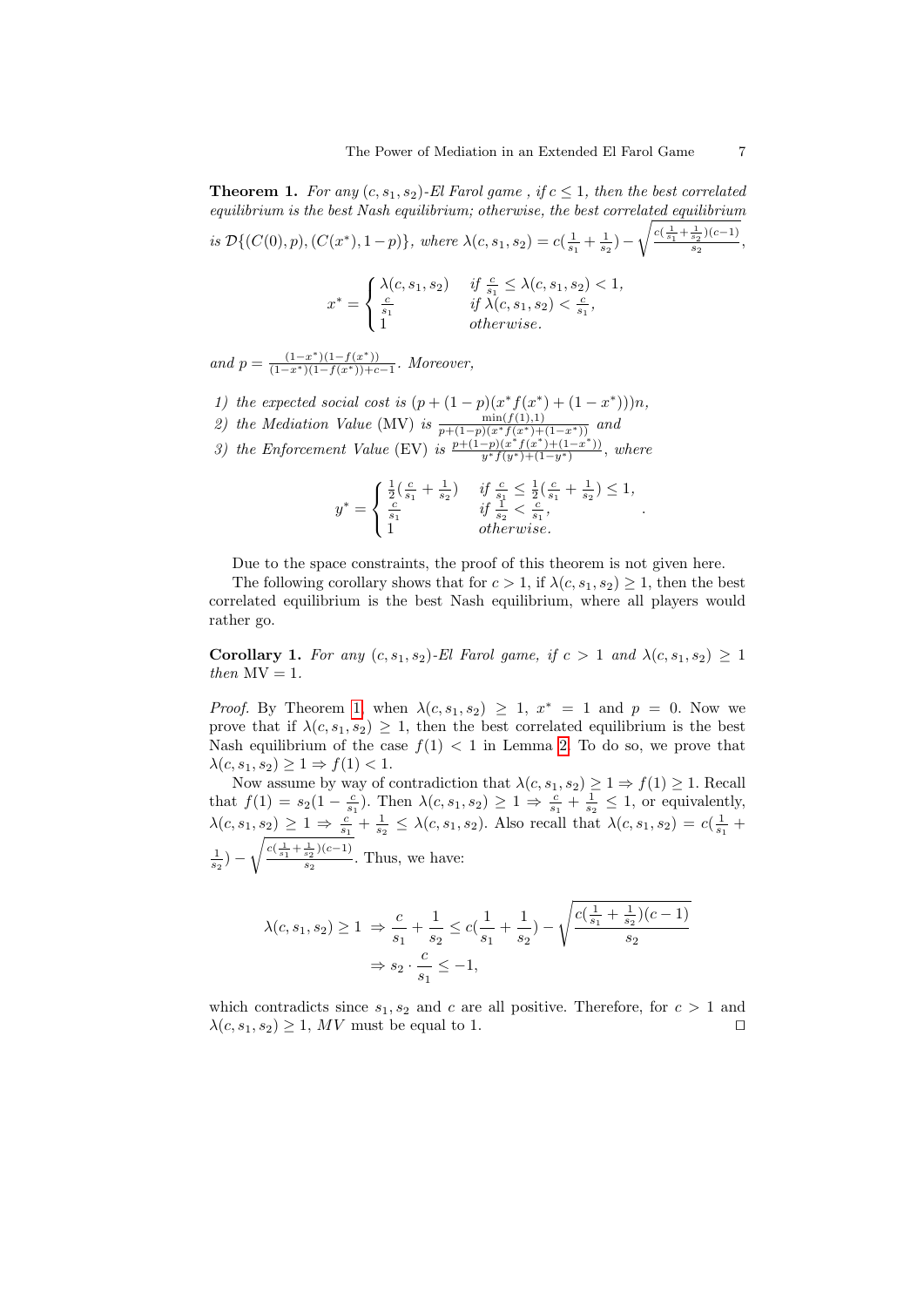<span id="page-6-0"></span>**Theorem 1.** For any  $(c, s_1, s_2)$ -El Farol game, if  $c \leq 1$ , then the best correlated equilibrium is the best Nash equilibrium; otherwise, the best correlated equilibrium is  $\mathcal{D}\{(C(0), p), (C(x^*), 1-p)\}\$ , where  $\lambda(c, s_1, s_2) = c(\frac{1}{s_1} + \frac{1}{s_2}) \sqrt{\frac{c(\frac{1}{s_1} + \frac{1}{s_2})(c-1)}{c}}$  $\frac{s_2^{(k-1)}}{s_2},$  $x^* =$  $\sqrt{ }$  $\label{eq:21} \left\{ \begin{array}{ll} \lambda(c,s_1,s_2) & \textit{if $\frac{c}{s_1} \leq \lambda(c,s_1,s_2) < 1$,}\\ \frac{c}{s_1} & \textit{if $\lambda(c,s_1,s_2) < \frac{c}{s_1},$} \end{array} \right.$ 

$$
\begin{pmatrix}\n1 & & \text{otherwise.} \\
1 & & \text{otherwise.}\n\end{pmatrix}
$$

and  $p = \frac{(1-x^*)(1-f(x^*))}{(1-x^*)(1-f(x^*))+c-1}$ . Moreover,

- 1) the expected social cost is  $(p + (1 p)(x^* f(x^*) + (1 x^*)))n$ ,
- 2) the Mediation Value (MV) is  $\frac{\min(f(1),1)}{p+(1-p)(x^*f(x^*)+(1-x^*))}$  and
- 3) the Enforcement Value (EV) is  $\frac{p+(1-p)(x^*f(x^*)+(1-x^*))}{y^*f(y^*)+(1-y^*)}$ , where

$$
y^* = \begin{cases} \frac{1}{2}(\frac{c}{s_1}+\frac{1}{s_2}) & \textit{if $\frac{c}{s_1}\leq\frac{1}{2}(\frac{c}{s_1}+\frac{1}{s_2})\leq 1$,} \\ \frac{c}{s_1} & \textit{if $\frac{1}{s_2}<\frac{c}{s_1}$,} \\ 1 & \textit{otherwise.} \end{cases}
$$

.

Due to the space constraints, the proof of this theorem is not given here.

The following corollary shows that for  $c > 1$ , if  $\lambda(c, s_1, s_2) \geq 1$ , then the best correlated equilibrium is the best Nash equilibrium, where all players would rather go.

Corollary 1. For any  $(c, s_1, s_2)$ -El Farol game, if  $c > 1$  and  $\lambda(c, s_1, s_2) \geq 1$ then  $MV = 1$ .

*Proof.* By Theorem [1,](#page-6-0) when  $\lambda(c, s_1, s_2) \geq 1$ ,  $x^* = 1$  and  $p = 0$ . Now we prove that if  $\lambda(c, s_1, s_2) \geq 1$ , then the best correlated equilibrium is the best Nash equilibrium of the case  $f(1) < 1$  in Lemma [2.](#page-5-2) To do so, we prove that  $\lambda(c, s_1, s_2) \geq 1 \Rightarrow f(1) < 1.$ 

Now assume by way of contradiction that  $\lambda(c, s_1, s_2) \geq 1 \Rightarrow f(1) \geq 1$ . Recall that  $f(1) = s_2(1 - \frac{c}{s_1})$ . Then  $\lambda(c, s_1, s_2) \geq 1 \Rightarrow \frac{c}{s_1} + \frac{1}{s_2} \leq 1$ , or equivalently,  $\lambda(c, s_1, s_2) \geq 1 \Rightarrow \frac{c}{s_1} + \frac{1}{s_2} \leq \lambda(c, s_1, s_2)$ . Also recall that  $\lambda(c, s_1, s_2) = c(\frac{1}{s_1} +$  $(\frac{1}{s_2}) \sqrt{\frac{c(\frac{1}{s_1} + \frac{1}{s_2})(c-1)}{c}}$  $\frac{s_2^{s_2^{(n-1)}}}{s_2}$ . Thus, we have:

$$
\lambda(c, s_1, s_2) \ge 1 \Rightarrow \frac{c}{s_1} + \frac{1}{s_2} \le c\left(\frac{1}{s_1} + \frac{1}{s_2}\right) - \sqrt{\frac{c\left(\frac{1}{s_1} + \frac{1}{s_2}\right)(c - 1)}{s_2}}
$$

$$
\Rightarrow s_2 \cdot \frac{c}{s_1} \le -1,
$$

which contradicts since  $s_1, s_2$  and c are all positive. Therefore, for  $c > 1$  and  $\lambda(c, s_1, s_2) \geq 1$ , MV must be equal to 1.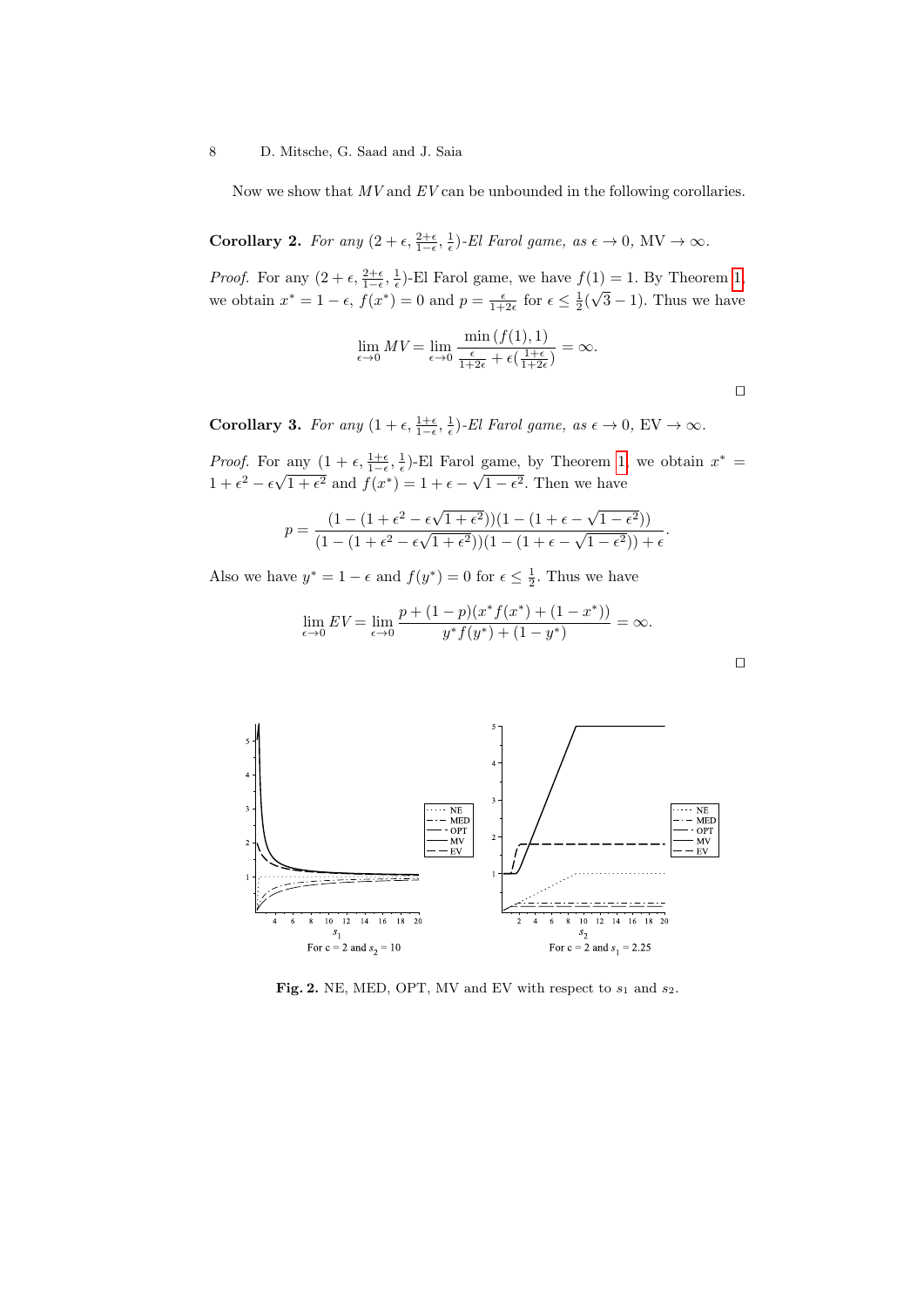<span id="page-7-1"></span>Now we show that  $MV$  and  $EV$  can be unbounded in the following corollaries.

Corollary 2. For any  $(2 + \epsilon, \frac{2+\epsilon}{1-\epsilon}, \frac{1}{\epsilon})$ -El Farol game, as  $\epsilon \to 0$ , MV  $\to \infty$ .

*Proof.* For any  $(2 + \epsilon, \frac{2+\epsilon}{1-\epsilon}, \frac{1}{\epsilon})$ -El Farol game, we have  $f(1) = 1$ . By Theorem [1,](#page-6-0) we obtain  $x^* = 1 - \epsilon$ ,  $f(x^*) = 0$  and  $p = \frac{\epsilon}{1+2\epsilon}$  for  $\epsilon \leq \frac{1}{2}$ √  $(3-1)$ . Thus we have

$$
\lim_{\epsilon \to 0} MV = \lim_{\epsilon \to 0} \frac{\min\left(f(1), 1\right)}{\frac{\epsilon}{1+2\epsilon} + \epsilon\left(\frac{1+\epsilon}{1+2\epsilon}\right)} = \infty.
$$

 $\Box$ 

<span id="page-7-2"></span>Corollary 3. For any  $(1+\epsilon, \frac{1+\epsilon}{1-\epsilon}, \frac{1}{\epsilon})$ -El Farol game, as  $\epsilon \to 0$ , EV  $\to \infty$ .

*Proof.* For any  $(1 + \epsilon, \frac{1+\epsilon}{1-\epsilon}, \frac{1}{\epsilon})$ -El Farol game, by Theorem [1,](#page-6-0) we obtain  $x^* =$  $1 + \epsilon^2 - \epsilon \sqrt{}$  $\overline{1+\epsilon^2}$  and  $f(x^*)=1+\epsilon-$ √  $1 - \epsilon^2$ . Then we have

$$
p = \frac{(1 - (1 + \epsilon^2 - \epsilon\sqrt{1 + \epsilon^2})) (1 - (1 + \epsilon - \sqrt{1 - \epsilon^2}))}{(1 - (1 + \epsilon^2 - \epsilon\sqrt{1 + \epsilon^2})) (1 - (1 + \epsilon - \sqrt{1 - \epsilon^2})) + \epsilon}.
$$

Also we have  $y^* = 1 - \epsilon$  and  $f(y^*) = 0$  for  $\epsilon \leq \frac{1}{2}$ . Thus we have

$$
\lim_{\epsilon \to 0} EV = \lim_{\epsilon \to 0} \frac{p + (1 - p)(x^* f(x^*) + (1 - x^*))}{y^* f(y^*) + (1 - y^*)} = \infty.
$$



<span id="page-7-0"></span>Fig. 2. NE, MED, OPT, MV and EV with respect to  $s_1$  and  $s_2$ .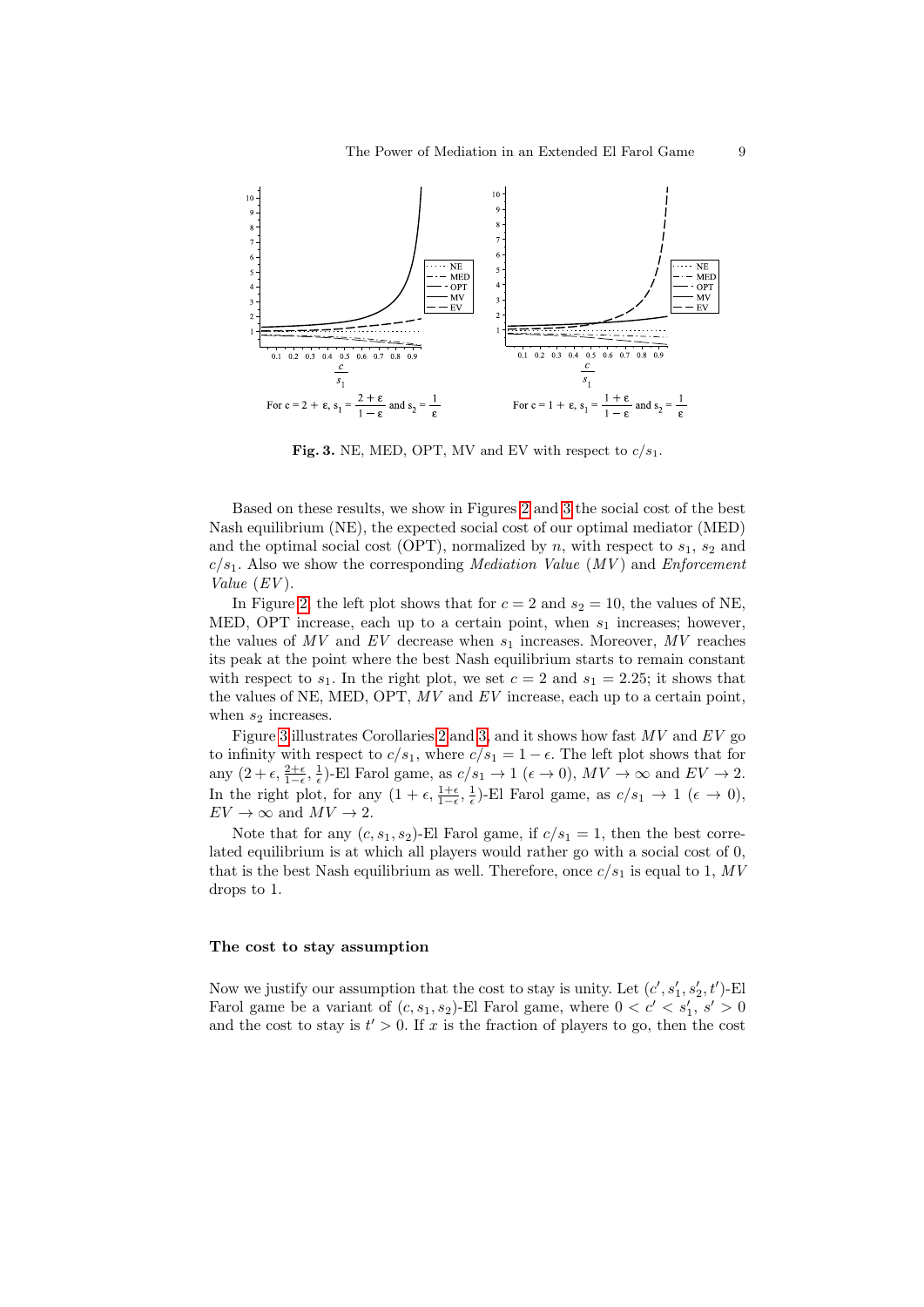

<span id="page-8-0"></span>Fig. 3. NE, MED, OPT, MV and EV with respect to  $c/s_1$ .

Based on these results, we show in Figures [2](#page-7-0) and [3](#page-8-0) the social cost of the best Nash equilibrium (NE), the expected social cost of our optimal mediator (MED) and the optimal social cost (OPT), normalized by n, with respect to  $s_1$ ,  $s_2$  and  $c/s<sub>1</sub>$ . Also we show the corresponding *Mediation Value (MV)* and *Enforcement* Value  $(EV)$ .

In Figure [2,](#page-7-0) the left plot shows that for  $c = 2$  and  $s_2 = 10$ , the values of NE, MED, OPT increase, each up to a certain point, when  $s_1$  increases; however, the values of  $MV$  and  $EV$  decrease when  $s_1$  increases. Moreover,  $MV$  reaches its peak at the point where the best Nash equilibrium starts to remain constant with respect to  $s_1$ . In the right plot, we set  $c = 2$  and  $s_1 = 2.25$ ; it shows that the values of NE, MED, OPT,  $MV$  and  $EV$  increase, each up to a certain point, when  $s_2$  increases.

Figure [3](#page-8-0) illustrates Corollaries [2](#page-7-1) and [3,](#page-7-2) and it shows how fast  $MV$  and  $EV$  go to infinity with respect to  $c/s_1$ , where  $c/s_1 = 1 - \epsilon$ . The left plot shows that for any  $(2+\epsilon, \frac{2+\epsilon}{1-\epsilon}, \frac{1}{\epsilon})$ -El Farol game, as  $c/s_1 \to 1$   $(\epsilon \to 0)$ ,  $MV \to \infty$  and  $EV \to 2$ . In the right plot, for any  $(1 + \epsilon, \frac{1+\epsilon}{1-\epsilon}, \frac{1}{\epsilon})$ -El Farol game, as  $c/s_1 \to 1$   $(\epsilon \to 0)$ ,  $EV \to \infty$  and  $MV \to 2$ .

Note that for any  $(c, s_1, s_2)$ -El Farol game, if  $c/s_1 = 1$ , then the best correlated equilibrium is at which all players would rather go with a social cost of 0, that is the best Nash equilibrium as well. Therefore, once  $c/s_1$  is equal to 1, MV drops to 1.

#### The cost to stay assumption

Now we justify our assumption that the cost to stay is unity. Let  $(c', s'_1, s'_2, t')$ -El Farol game be a variant of  $(c, s_1, s_2)$ -El Farol game, where  $0 < c' < s'_1, s' > 0$ and the cost to stay is  $t' > 0$ . If x is the fraction of players to go, then the cost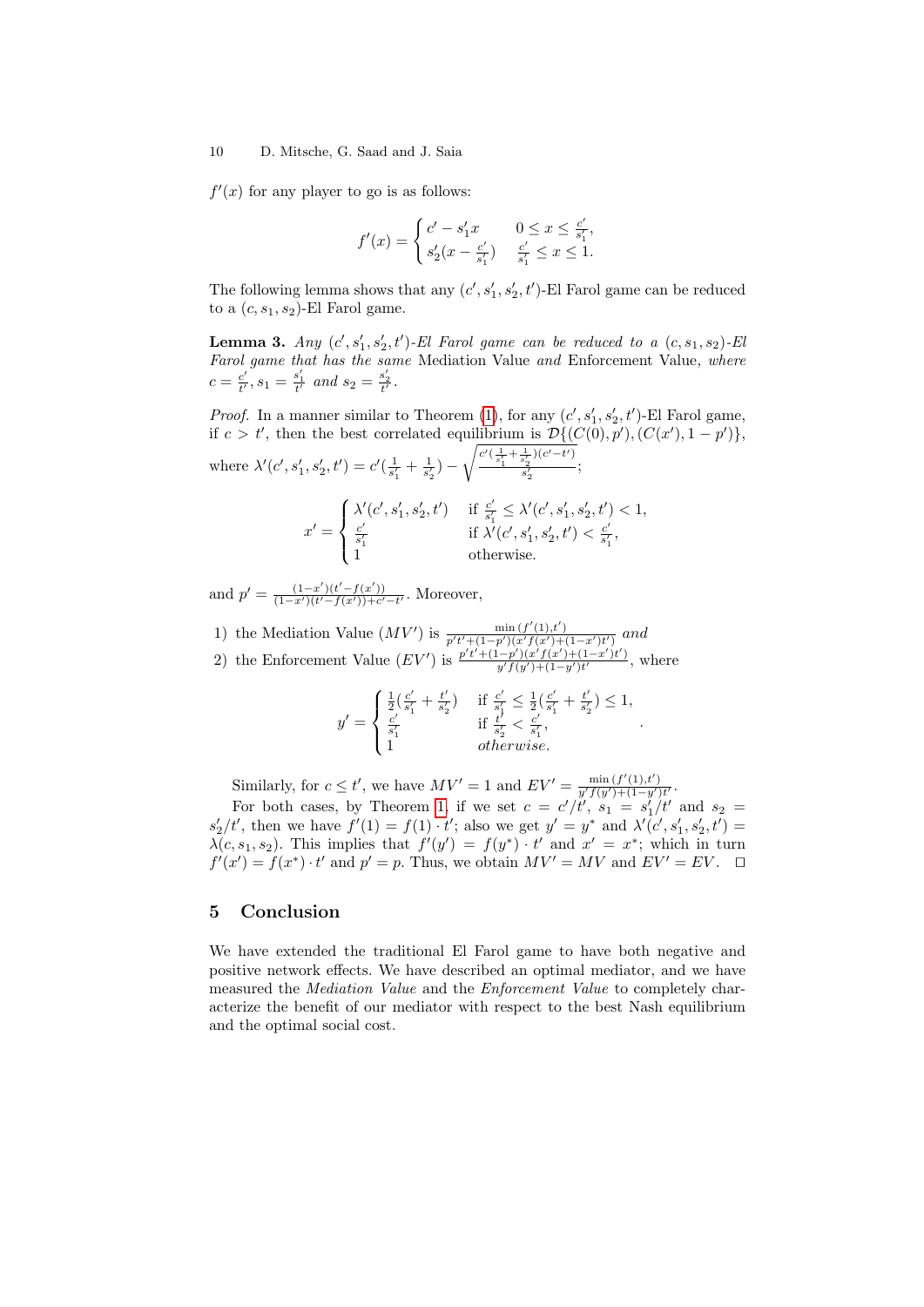$f'(x)$  for any player to go is as follows:

$$
f'(x) = \begin{cases} c' - s'_1 x & 0 \le x \le \frac{c'}{s'_1}, \\ s'_2 (x - \frac{c'}{s'_1}) & \frac{c'}{s'_1} \le x \le 1. \end{cases}
$$

The following lemma shows that any  $(c', s'_1, s'_2, t')$ -El Farol game can be reduced to a  $(c, s_1, s_2)$ -El Farol game.

**Lemma 3.** Any  $(c', s'_1, s'_2, t')$ -El Farol game can be reduced to a  $(c, s_1, s_2)$ -El Farol game that has the same Mediation Value and Enforcement Value, where  $c = \frac{c'}{t'}$  $\underline{c}^{\prime}_{t^{\prime}}, s_{1} = \frac{s_{1}^{\prime}}{t^{\prime}}$  and  $s_{2} = \frac{s_{2}^{\prime}}{t^{\prime}}$ .

*Proof.* In a manner similar to Theorem [\(1\)](#page-6-0), for any  $(c', s'_1, s'_2, t')$ -El Farol game, if  $c > t'$ , then the best correlated equilibrium is  $\mathcal{D}\{(C(0), p'), (C(x'), 1 - p')\},\$ where  $\lambda'(c', s'_1, s'_2, t') = c'(\frac{1}{s'_1} + \frac{1}{s'_2}) \sqrt{\frac{c'(\frac{1}{s'_1}+\frac{1}{s'_2})(c'-t')}{c'}}$  $\frac{s'_2}{s'_2};$  $x' =$  $\sqrt{ }$  $\int$  $\mathcal{L}$  $\lambda'(c', s'_1, s'_2, t')$  if  $\frac{c'}{s'_1}$  $\frac{c'}{s'_1} \leq \lambda'(c', s'_1, s'_2, t') < 1,$  $c'$  $\frac{c'}{s'_1}$  if  $\lambda'(c', s'_1, s'_2, t') < \frac{c'}{s'_1}$  $\frac{c}{s_1'}$ 1 otherwise.

and  $p' = \frac{(1-x')(t'-f(x'))}{(1-x')(t'-f(x'))+c'-t'}$ . Moreover,

1) the Mediation Value  $(MV')$  is  $\frac{\min(f'(1),t')}{p't'+(1-p')(x'f(x')+(1-x')t')}$  and

2) the Enforcement Value  $(EV')$  is  $\frac{p't'+(1-p')(x'f(x')+(1-x')t')}{y'f(y')+(1-y')t'}$ , where

$$
y' = \begin{cases} \frac{1}{2}(\frac{c'}{s'_1} + \frac{t'}{s'_2}) & \text{if } \frac{c'}{s'_1} \le \frac{1}{2}(\frac{c'}{s'_1} + \frac{t'}{s'_2}) \le 1, \\ \frac{c'}{s'_1} & \text{if } \frac{t'}{s'_2} < \frac{c'}{s'_1}, \\ 1 & otherwise. \end{cases}
$$

.

Similarly, for  $c \le t'$ , we have  $MV' = 1$  and  $EV' = \frac{\min(f'(1), t')}{y' f(y') + (1 - y') t'}$ .

For both cases, by Theorem [1,](#page-6-0) if we set  $c = c'/t'$ ,  $s_1 = s'_1/t'$  and  $s_2 =$  $s'_2/t'$ , then we have  $f'(1) = f(1) \cdot t'$ ; also we get  $y' = y^*$  and  $\lambda'(c', s'_1, s'_2, t') =$  $\lambda(c, s_1, s_2)$ . This implies that  $f'(y') = f(y^*) \cdot t'$  and  $x' = x^*$ ; which in turn  $f'(x') = f(x^*) \cdot t'$  and  $p' = p$ . Thus, we obtain  $MV' = MV$  and  $EV' = EV$ .  $\Box$ 

# <span id="page-9-0"></span>5 Conclusion

We have extended the traditional El Farol game to have both negative and positive network effects. We have described an optimal mediator, and we have measured the *Mediation Value* and the *Enforcement Value* to completely characterize the benefit of our mediator with respect to the best Nash equilibrium and the optimal social cost.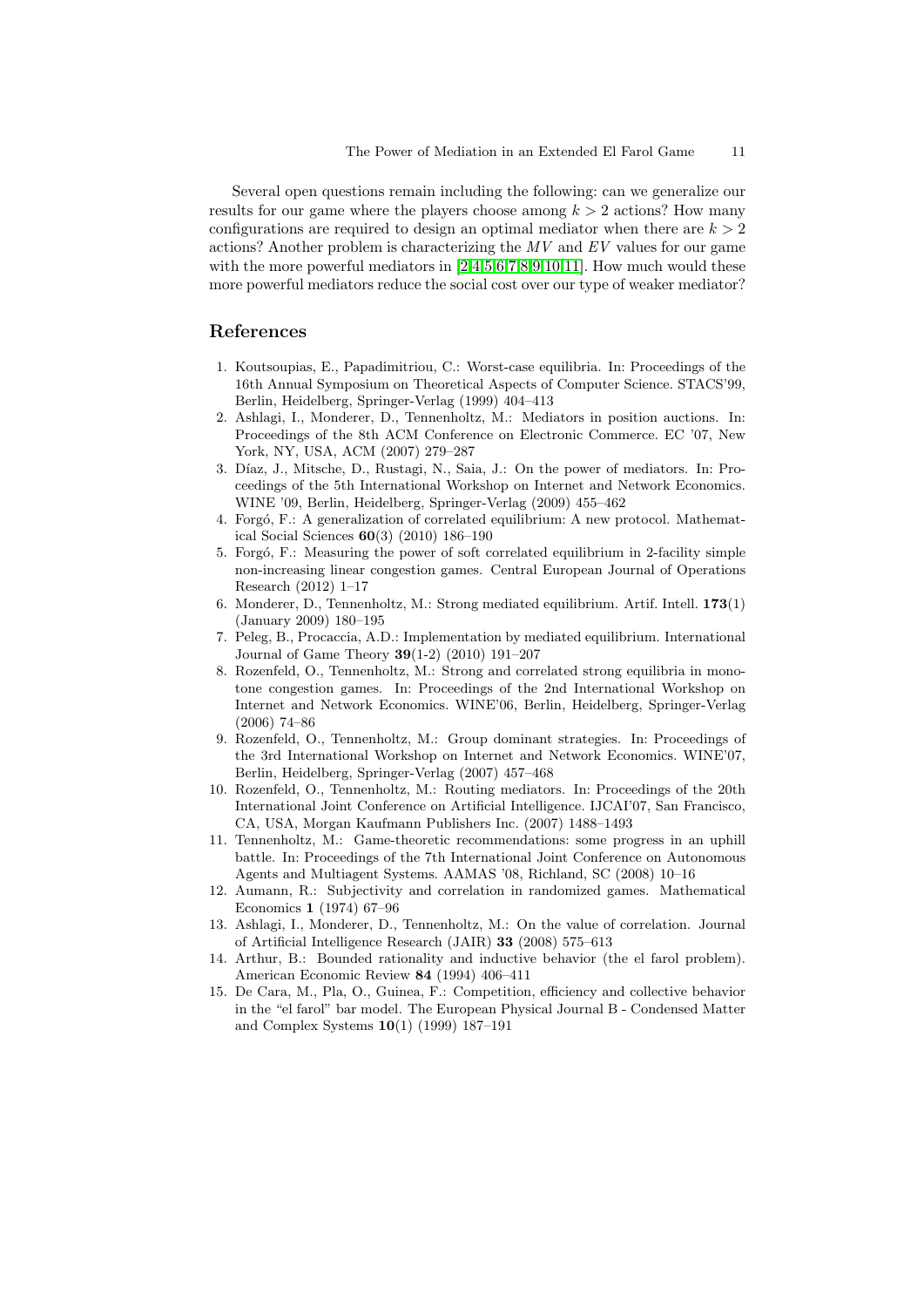Several open questions remain including the following: can we generalize our results for our game where the players choose among  $k > 2$  actions? How many configurations are required to design an optimal mediator when there are  $k > 2$ actions? Another problem is characterizing the  $MV$  and  $EV$  values for our game with the more powerful mediators in  $[2,4,5,6,7,8,9,10,11]$  $[2,4,5,6,7,8,9,10,11]$  $[2,4,5,6,7,8,9,10,11]$  $[2,4,5,6,7,8,9,10,11]$  $[2,4,5,6,7,8,9,10,11]$  $[2,4,5,6,7,8,9,10,11]$  $[2,4,5,6,7,8,9,10,11]$  $[2,4,5,6,7,8,9,10,11]$  $[2,4,5,6,7,8,9,10,11]$ . How much would these more powerful mediators reduce the social cost over our type of weaker mediator?

# References

- <span id="page-10-0"></span>1. Koutsoupias, E., Papadimitriou, C.: Worst-case equilibria. In: Proceedings of the 16th Annual Symposium on Theoretical Aspects of Computer Science. STACS'99, Berlin, Heidelberg, Springer-Verlag (1999) 404–413
- <span id="page-10-1"></span>2. Ashlagi, I., Monderer, D., Tennenholtz, M.: Mediators in position auctions. In: Proceedings of the 8th ACM Conference on Electronic Commerce. EC '07, New York, NY, USA, ACM (2007) 279–287
- <span id="page-10-2"></span>3. Díaz, J., Mitsche, D., Rustagi, N., Saia, J.: On the power of mediators. In: Proceedings of the 5th International Workshop on Internet and Network Economics. WINE '09, Berlin, Heidelberg, Springer-Verlag (2009) 455–462
- <span id="page-10-3"></span>4. Forgó, F.: A generalization of correlated equilibrium: A new protocol. Mathematical Social Sciences 60(3) (2010) 186–190
- <span id="page-10-4"></span>5. Forgó, F.: Measuring the power of soft correlated equilibrium in 2-facility simple non-increasing linear congestion games. Central European Journal of Operations Research (2012) 1–17
- <span id="page-10-5"></span>6. Monderer, D., Tennenholtz, M.: Strong mediated equilibrium. Artif. Intell. 173(1) (January 2009) 180–195
- <span id="page-10-6"></span>7. Peleg, B., Procaccia, A.D.: Implementation by mediated equilibrium. International Journal of Game Theory 39(1-2) (2010) 191–207
- <span id="page-10-7"></span>8. Rozenfeld, O., Tennenholtz, M.: Strong and correlated strong equilibria in monotone congestion games. In: Proceedings of the 2nd International Workshop on Internet and Network Economics. WINE'06, Berlin, Heidelberg, Springer-Verlag (2006) 74–86
- <span id="page-10-8"></span>9. Rozenfeld, O., Tennenholtz, M.: Group dominant strategies. In: Proceedings of the 3rd International Workshop on Internet and Network Economics. WINE'07, Berlin, Heidelberg, Springer-Verlag (2007) 457–468
- <span id="page-10-9"></span>10. Rozenfeld, O., Tennenholtz, M.: Routing mediators. In: Proceedings of the 20th International Joint Conference on Artificial Intelligence. IJCAI'07, San Francisco, CA, USA, Morgan Kaufmann Publishers Inc. (2007) 1488–1493
- <span id="page-10-10"></span>11. Tennenholtz, M.: Game-theoretic recommendations: some progress in an uphill battle. In: Proceedings of the 7th International Joint Conference on Autonomous Agents and Multiagent Systems. AAMAS '08, Richland, SC (2008) 10–16
- <span id="page-10-11"></span>12. Aumann, R.: Subjectivity and correlation in randomized games. Mathematical Economics 1 (1974) 67–96
- <span id="page-10-12"></span>13. Ashlagi, I., Monderer, D., Tennenholtz, M.: On the value of correlation. Journal of Artificial Intelligence Research (JAIR) 33 (2008) 575–613
- <span id="page-10-13"></span>14. Arthur, B.: Bounded rationality and inductive behavior (the el farol problem). American Economic Review 84 (1994) 406–411
- <span id="page-10-14"></span>15. De Cara, M., Pla, O., Guinea, F.: Competition, efficiency and collective behavior in the "el farol" bar model. The European Physical Journal B - Condensed Matter and Complex Systems 10(1) (1999) 187–191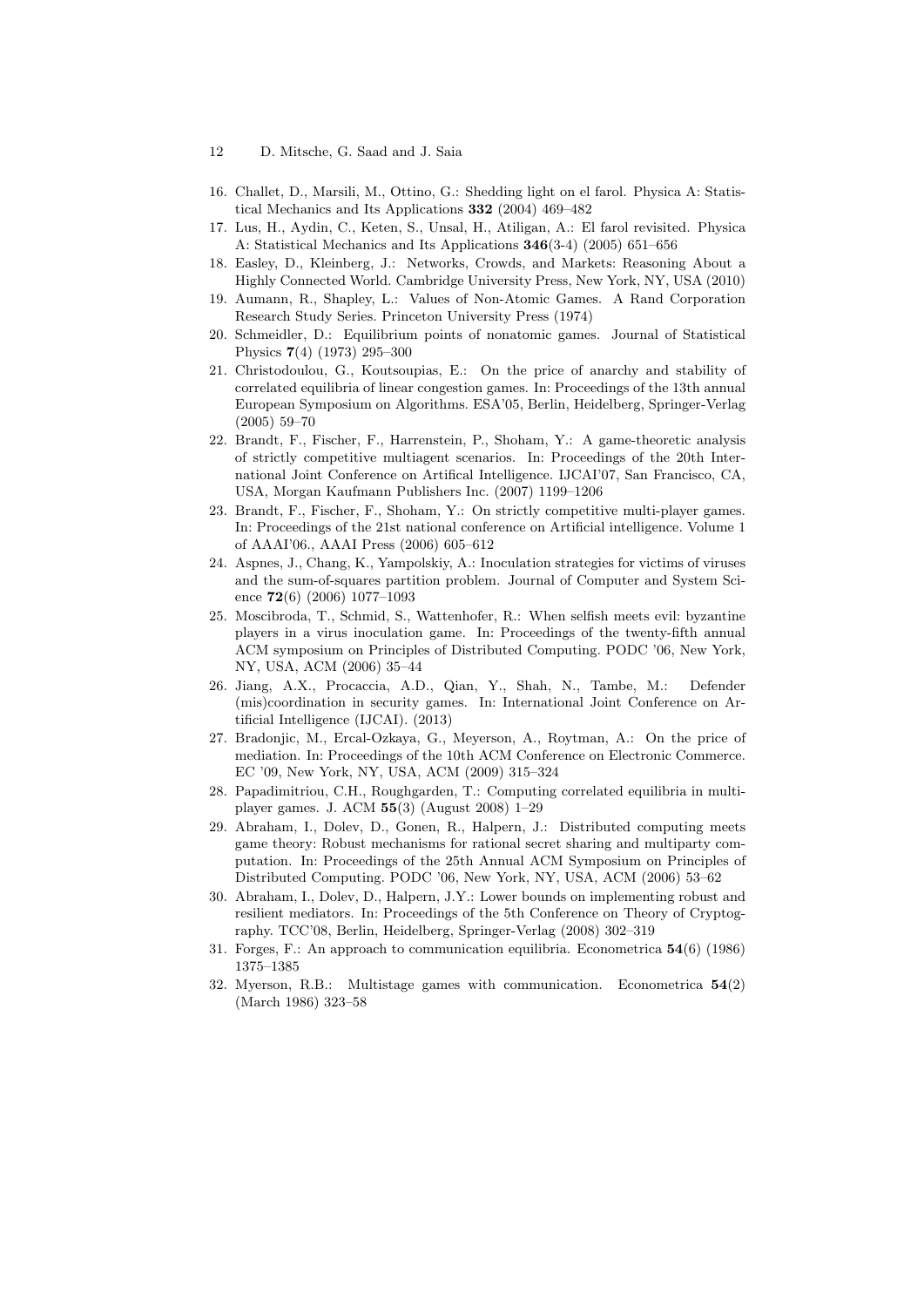- 12 D. Mitsche, G. Saad and J. Saia
- <span id="page-11-0"></span>16. Challet, D., Marsili, M., Ottino, G.: Shedding light on el farol. Physica A: Statistical Mechanics and Its Applications 332 (2004) 469–482
- <span id="page-11-1"></span>17. Lus, H., Aydin, C., Keten, S., Unsal, H., Atiligan, A.: El farol revisited. Physica A: Statistical Mechanics and Its Applications 346(3-4) (2005) 651–656
- <span id="page-11-2"></span>18. Easley, D., Kleinberg, J.: Networks, Crowds, and Markets: Reasoning About a Highly Connected World. Cambridge University Press, New York, NY, USA (2010)
- <span id="page-11-3"></span>19. Aumann, R., Shapley, L.: Values of Non-Atomic Games. A Rand Corporation Research Study Series. Princeton University Press (1974)
- <span id="page-11-4"></span>20. Schmeidler, D.: Equilibrium points of nonatomic games. Journal of Statistical Physics 7(4) (1973) 295–300
- <span id="page-11-5"></span>21. Christodoulou, G., Koutsoupias, E.: On the price of anarchy and stability of correlated equilibria of linear congestion games. In: Proceedings of the 13th annual European Symposium on Algorithms. ESA'05, Berlin, Heidelberg, Springer-Verlag (2005) 59–70
- <span id="page-11-6"></span>22. Brandt, F., Fischer, F., Harrenstein, P., Shoham, Y.: A game-theoretic analysis of strictly competitive multiagent scenarios. In: Proceedings of the 20th International Joint Conference on Artifical Intelligence. IJCAI'07, San Francisco, CA, USA, Morgan Kaufmann Publishers Inc. (2007) 1199–1206
- <span id="page-11-7"></span>23. Brandt, F., Fischer, F., Shoham, Y.: On strictly competitive multi-player games. In: Proceedings of the 21st national conference on Artificial intelligence. Volume 1 of AAAI'06., AAAI Press (2006) 605–612
- <span id="page-11-8"></span>24. Aspnes, J., Chang, K., Yampolskiy, A.: Inoculation strategies for victims of viruses and the sum-of-squares partition problem. Journal of Computer and System Science 72(6) (2006) 1077–1093
- <span id="page-11-9"></span>25. Moscibroda, T., Schmid, S., Wattenhofer, R.: When selfish meets evil: byzantine players in a virus inoculation game. In: Proceedings of the twenty-fifth annual ACM symposium on Principles of Distributed Computing. PODC '06, New York, NY, USA, ACM (2006) 35–44
- <span id="page-11-10"></span>26. Jiang, A.X., Procaccia, A.D., Qian, Y., Shah, N., Tambe, M.: Defender (mis)coordination in security games. In: International Joint Conference on Artificial Intelligence (IJCAI). (2013)
- <span id="page-11-11"></span>27. Bradonjic, M., Ercal-Ozkaya, G., Meyerson, A., Roytman, A.: On the price of mediation. In: Proceedings of the 10th ACM Conference on Electronic Commerce. EC '09, New York, NY, USA, ACM (2009) 315–324
- <span id="page-11-12"></span>28. Papadimitriou, C.H., Roughgarden, T.: Computing correlated equilibria in multiplayer games. J. ACM 55(3) (August 2008) 1–29
- <span id="page-11-13"></span>29. Abraham, I., Dolev, D., Gonen, R., Halpern, J.: Distributed computing meets game theory: Robust mechanisms for rational secret sharing and multiparty computation. In: Proceedings of the 25th Annual ACM Symposium on Principles of Distributed Computing. PODC '06, New York, NY, USA, ACM (2006) 53–62
- <span id="page-11-14"></span>30. Abraham, I., Dolev, D., Halpern, J.Y.: Lower bounds on implementing robust and resilient mediators. In: Proceedings of the 5th Conference on Theory of Cryptography. TCC'08, Berlin, Heidelberg, Springer-Verlag (2008) 302–319
- <span id="page-11-15"></span>31. Forges, F.: An approach to communication equilibria. Econometrica 54(6) (1986) 1375–1385
- <span id="page-11-16"></span>32. Myerson, R.B.: Multistage games with communication. Econometrica 54(2) (March 1986) 323–58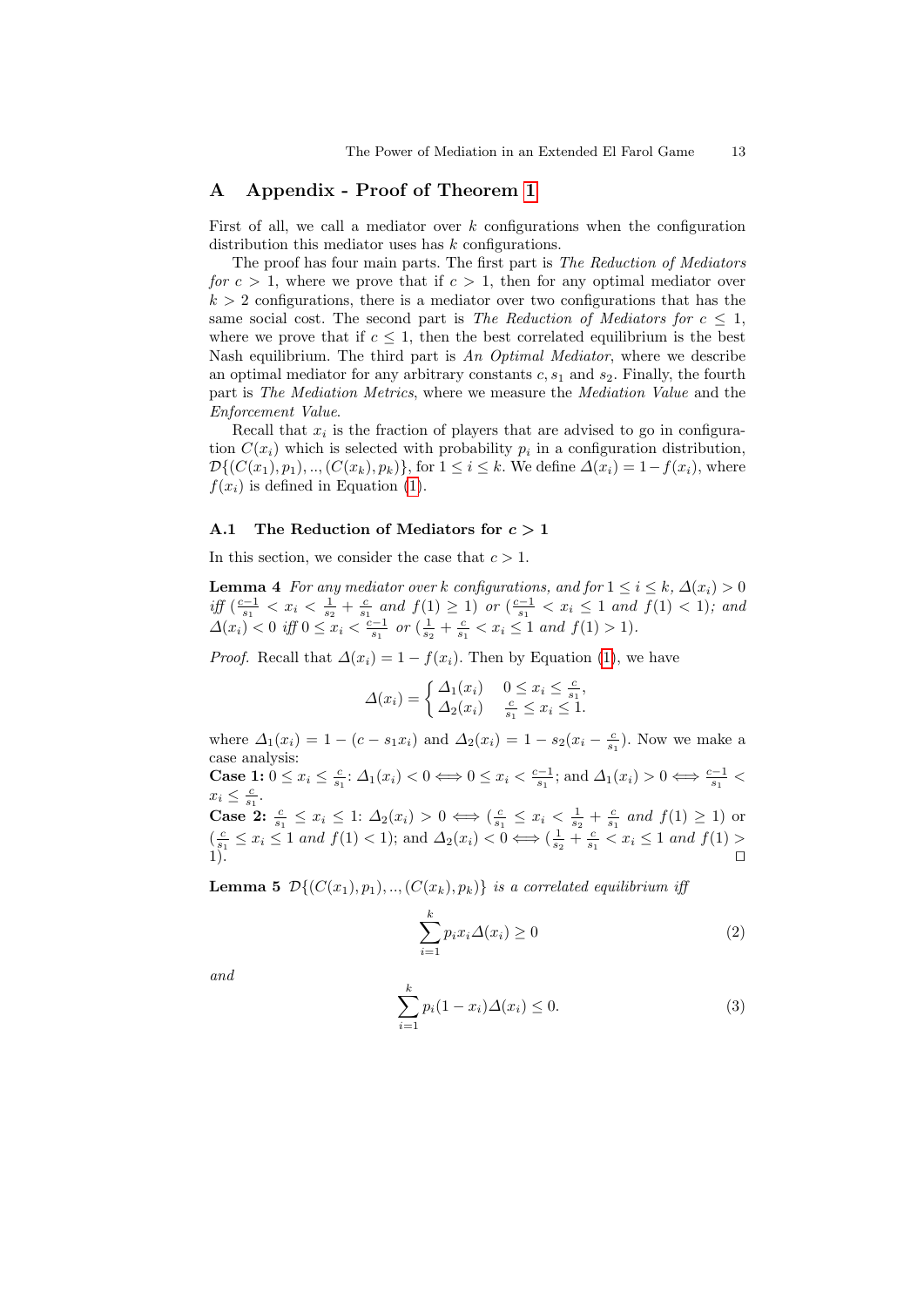## A Appendix - Proof of Theorem [1](#page-6-0)

First of all, we call a mediator over  $k$  configurations when the configuration distribution this mediator uses has  $k$  configurations.

The proof has four main parts. The first part is The Reduction of Mediators for  $c > 1$ , where we prove that if  $c > 1$ , then for any optimal mediator over  $k > 2$  configurations, there is a mediator over two configurations that has the same social cost. The second part is The Reduction of Mediators for  $c \leq 1$ , where we prove that if  $c \leq 1$ , then the best correlated equilibrium is the best Nash equilibrium. The third part is An Optimal Mediator, where we describe an optimal mediator for any arbitrary constants  $c, s<sub>1</sub>$  and  $s<sub>2</sub>$ . Finally, the fourth part is The Mediation Metrics, where we measure the Mediation Value and the Enforcement Value.

Recall that  $x_i$  is the fraction of players that are advised to go in configuration  $C(x_i)$  which is selected with probability  $p_i$  in a configuration distribution,  $\mathcal{D}\{(C(x_1), p_1), ..., (C(x_k), p_k)\}\$ , for  $1 \leq i \leq k$ . We define  $\Delta(x_i) = 1 - f(x_i)$ , where  $f(x_i)$  is defined in Equation [\(1\)](#page-2-1).

# A.1 The Reduction of Mediators for  $c > 1$

<span id="page-12-3"></span>In this section, we consider the case that  $c > 1$ .

**Lemma 4** For any mediator over k configurations, and for  $1 \le i \le k$ ,  $\Delta(x_i) > 0$ *iff*  $\left(\frac{c-1}{s_1} < x_i < \frac{1}{s_2} + \frac{c}{s_1} \text{ and } f(1) \geq 1\right)$  or  $\left(\frac{c-1}{s_1} < x_i \leq 1 \text{ and } f(1) < 1\right)$ ; and  $\Delta(x_i) < 0$  iff  $0 \le x_i < \frac{\overline{c-1}}{s_1}$  or  $(\frac{1}{s_2} + \frac{c}{s_1} < x_i \le 1$  and  $f(1) > 1$ .

*Proof.* Recall that  $\Delta(x_i) = 1 - f(x_i)$ . Then by Equation [\(1\)](#page-2-1), we have

$$
\Delta(x_i) = \begin{cases} \Delta_1(x_i) & 0 \le x_i \le \frac{c}{s_1}, \\ \Delta_2(x_i) & \frac{c}{s_1} \le x_i \le 1. \end{cases}
$$

where  $\Delta_1(x_i) = 1 - (c - s_1 x_i)$  and  $\Delta_2(x_i) = 1 - s_2 (x_i - \frac{c}{s_1})$ . Now we make a case analysis: Case 1:  $0 \le x_i \le \frac{c}{s_1}$ :  $\Delta_1(x_i) < 0 \Longleftrightarrow 0 \le x_i < \frac{c-1}{s_1}$ ; and  $\Delta_1(x_i) > 0 \Longleftrightarrow \frac{c-1}{s_1} <$  $x_i \leq \frac{c}{s_1}.$ **Case 2:**  $\frac{c}{s_1} \leq x_i \leq 1$ :  $\Delta_2(x_i) > 0 \iff (\frac{c}{s_1} \leq x_i < \frac{1}{s_2} + \frac{c}{s_1} \text{ and } f(1) \geq 1)$  or  $(\frac{c}{s_1} \leq x_i \leq 1 \text{ and } f(1) < 1);$  and  $\Delta_2(x_i) < 0 \Longleftrightarrow (\frac{1}{s_2} + \frac{c}{s_1} < x_i \leq 1 \text{ and } f(1) >$  $1$ ).

<span id="page-12-2"></span>**Lemma 5**  $\mathcal{D}\{(C(x_1), p_1), \ldots, (C(x_k), p_k)\}\$ is a correlated equilibrium iff

<span id="page-12-0"></span>
$$
\sum_{i=1}^{k} p_i x_i \Delta(x_i) \ge 0
$$
\n(2)

and

<span id="page-12-1"></span>
$$
\sum_{i=1}^{k} p_i (1 - x_i) \Delta(x_i) \le 0.
$$
 (3)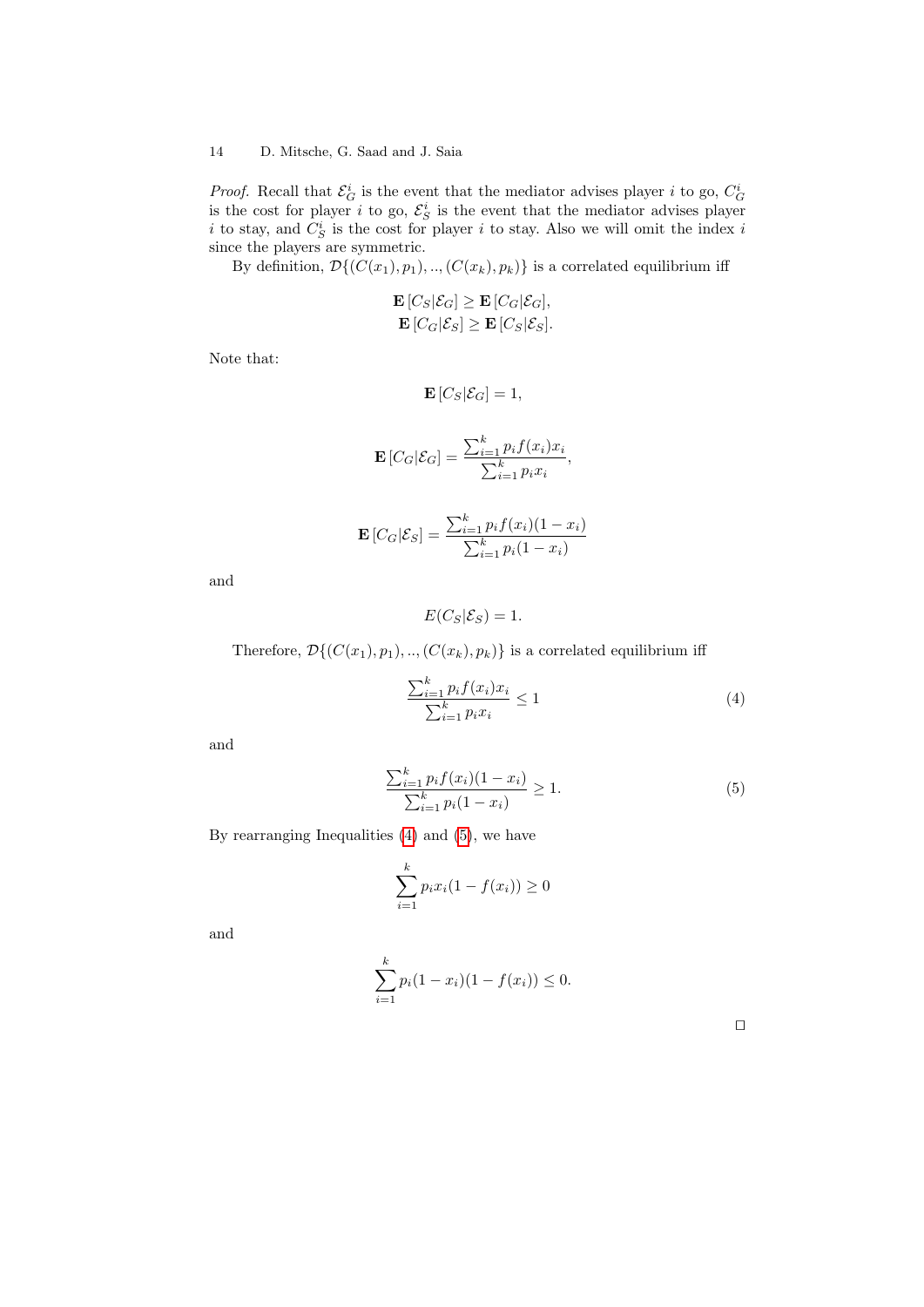*Proof.* Recall that  $\mathcal{E}_{G}^{i}$  is the event that the mediator advises player *i* to go,  $C_{G}^{i}$  is the event that the mediator advises player i to stay, and  $C_S^i$  is the cost for player i to stay. Also we will omit the index i since the players are symmetric.

By definition,  $\mathcal{D}\{(C(x_1), p_1), ..., (C(x_k), p_k)\}\)$  is a correlated equilibrium iff

$$
\mathbf{E}\left[C_S|\mathcal{E}_G\right] \ge \mathbf{E}\left[C_G|\mathcal{E}_G\right],
$$
  
\n
$$
\mathbf{E}\left[C_G|\mathcal{E}_S\right] \ge \mathbf{E}\left[C_S|\mathcal{E}_S\right].
$$

Note that:

$$
\mathbf{E}\left[C_S|\mathcal{E}_G\right] = 1,
$$
\n
$$
\mathbf{E}\left[C_G|\mathcal{E}_G\right] = \frac{\sum_{i=1}^k p_i f(x_i) x_i}{\sum_{i=1}^k p_i x_i},
$$
\n
$$
\mathbf{E}\left[C_G|\mathcal{E}_S\right] = \frac{\sum_{i=1}^k p_i f(x_i)(1 - x_i)}{\sum_{i=1}^k p_i(1 - x_i)}
$$

and

$$
E(C_S|\mathcal{E}_S)=1.
$$

Therefore,  $\mathcal{D}\{(C(x_1), p_1), \ldots, (C(x_k), p_k)\}\)$  is a correlated equilibrium iff

<span id="page-13-0"></span>
$$
\frac{\sum_{i=1}^{k} p_i f(x_i) x_i}{\sum_{i=1}^{k} p_i x_i} \le 1
$$
\n
$$
(4)
$$

and

<span id="page-13-1"></span>
$$
\frac{\sum_{i=1}^{k} p_i f(x_i)(1 - x_i)}{\sum_{i=1}^{k} p_i (1 - x_i)} \ge 1.
$$
\n(5)

By rearranging Inequalities [\(4\)](#page-13-0) and [\(5\)](#page-13-1), we have

$$
\sum_{i=1}^{k} p_i x_i (1 - f(x_i)) \ge 0
$$

<span id="page-13-2"></span>and

$$
\sum_{i=1}^{k} p_i (1 - x_i)(1 - f(x_i)) \le 0.
$$

 $\Box$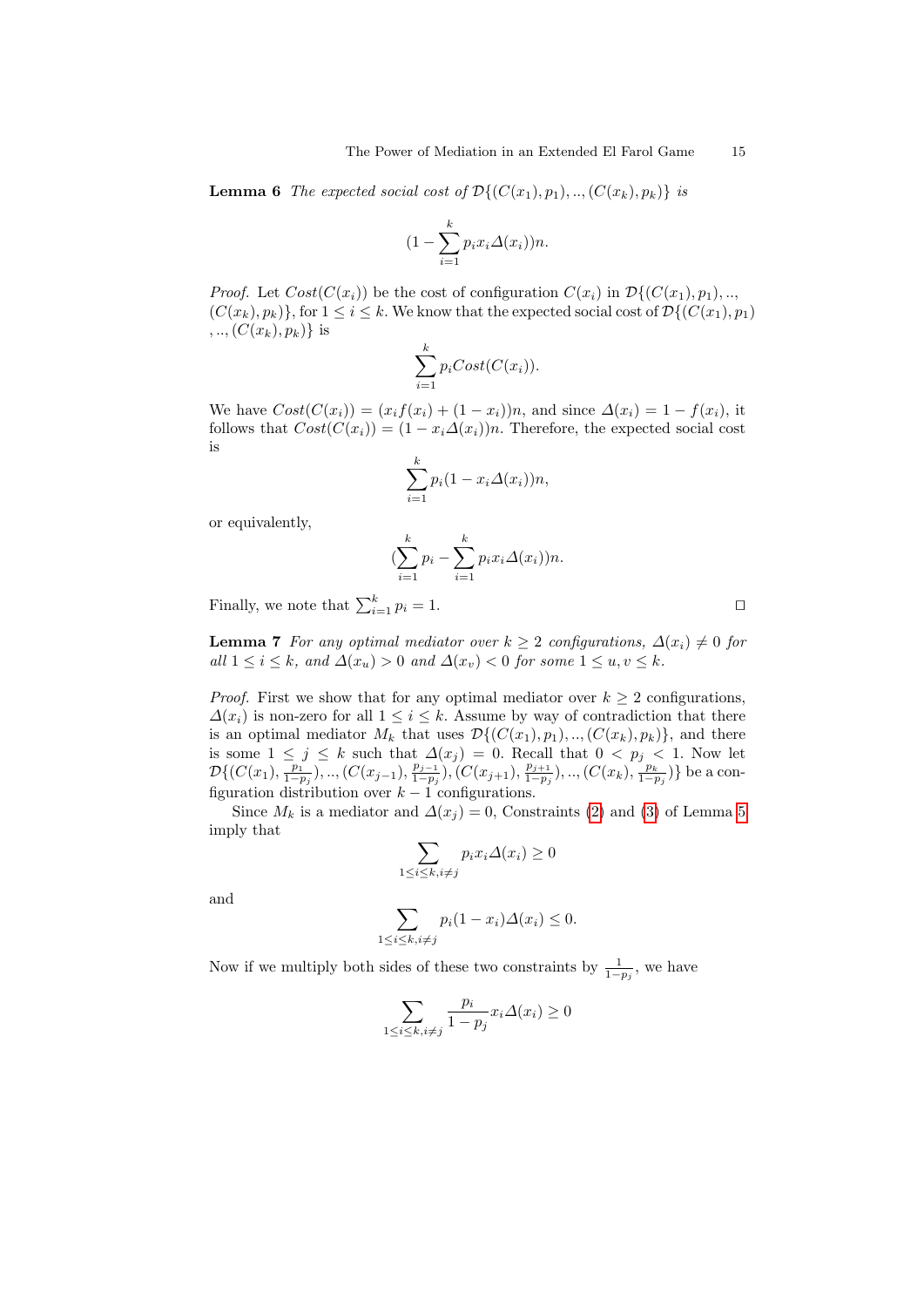**Lemma 6** The expected social cost of  $\mathcal{D}\{(C(x_1), p_1), \ldots, (C(x_k), p_k)\}\$ is

$$
(1 - \sum_{i=1}^{k} p_i x_i \Delta(x_i))n.
$$

*Proof.* Let  $Cost(C(x_i))$  be the cost of configuration  $C(x_i)$  in  $\mathcal{D}\{(C(x_1), p_1), \ldots, C(x_n)\}$  $(C(x_k), p_k)$ , for  $1 \leq i \leq k$ . We know that the expected social cost of  $\mathcal{D}\{(C(x_1), p_1)\}$  $,...,(C(x_k), p_k)$  is

$$
\sum_{i=1}^{k} p_i Cost(C(x_i)).
$$

We have  $Cost(C(x_i)) = (x_i f(x_i) + (1 - x_i))n$ , and since  $\Delta(x_i) = 1 - f(x_i)$ , it follows that  $Cost(C(x_i)) = (1 - x_i \Delta(x_i))n$ . Therefore, the expected social cost is

$$
\sum_{i=1}^{k} p_i (1 - x_i \Delta(x_i)) n,
$$

or equivalently,

$$
\left(\sum_{i=1}^k p_i - \sum_{i=1}^k p_i x_i \Delta(x_i)\right) n.
$$

Finally, we note that  $\sum_{i=1}^{k} p_i = 1$ .

<span id="page-14-0"></span>**Lemma 7** For any optimal mediator over  $k \geq 2$  configurations,  $\Delta(x_i) \neq 0$  for all  $1 \leq i \leq k$ , and  $\Delta(x_u) > 0$  and  $\Delta(x_v) < 0$  for some  $1 \leq u, v \leq k$ .

*Proof.* First we show that for any optimal mediator over  $k \geq 2$  configurations,  $\Delta(x_i)$  is non-zero for all  $1 \leq i \leq k$ . Assume by way of contradiction that there is an optimal mediator  $M_k$  that uses  $\mathcal{D}\{(C(x_1), p_1), \ldots, (C(x_k), p_k)\}\)$ , and there is some  $1 \leq j \leq k$  such that  $\Delta(x_j) = 0$ . Recall that  $0 \leq p_j \leq 1$ . Now let  $\mathcal{D}\{(C(x_1), \frac{p_1}{1-p_j}),..,(C(x_{j-1}),\frac{p_{j-1}}{1-p_j})$  $\frac{p_{j-1}}{1-p_j}$ ),  $(C(x_{j+1}), \frac{p_{j+1}}{1-p_j})$  $\frac{p_{j+1}}{1-p_j}),\ldots,(C(x_k),\frac{p_k}{1-p_j})\}$  be a configuration distribution over  $k-1$  configurations.

Since  $M_k$  is a mediator and  $\Delta(x_j) = 0$ , Constraints [\(2\)](#page-12-0) and [\(3\)](#page-12-1) of Lemma [5](#page-12-2) imply that

$$
\sum_{1 \le i \le k, i \ne j} p_i x_i \Delta(x_i) \ge 0
$$

and

$$
\sum_{1 \le i \le k, i \ne j} p_i (1 - x_i) \Delta(x_i) \le 0.
$$

Now if we multiply both sides of these two constraints by  $\frac{1}{1-p_j}$ , we have

$$
\sum_{1 \le i \le k, i \ne j} \frac{p_i}{1 - p_j} x_i \Delta(x_i) \ge 0
$$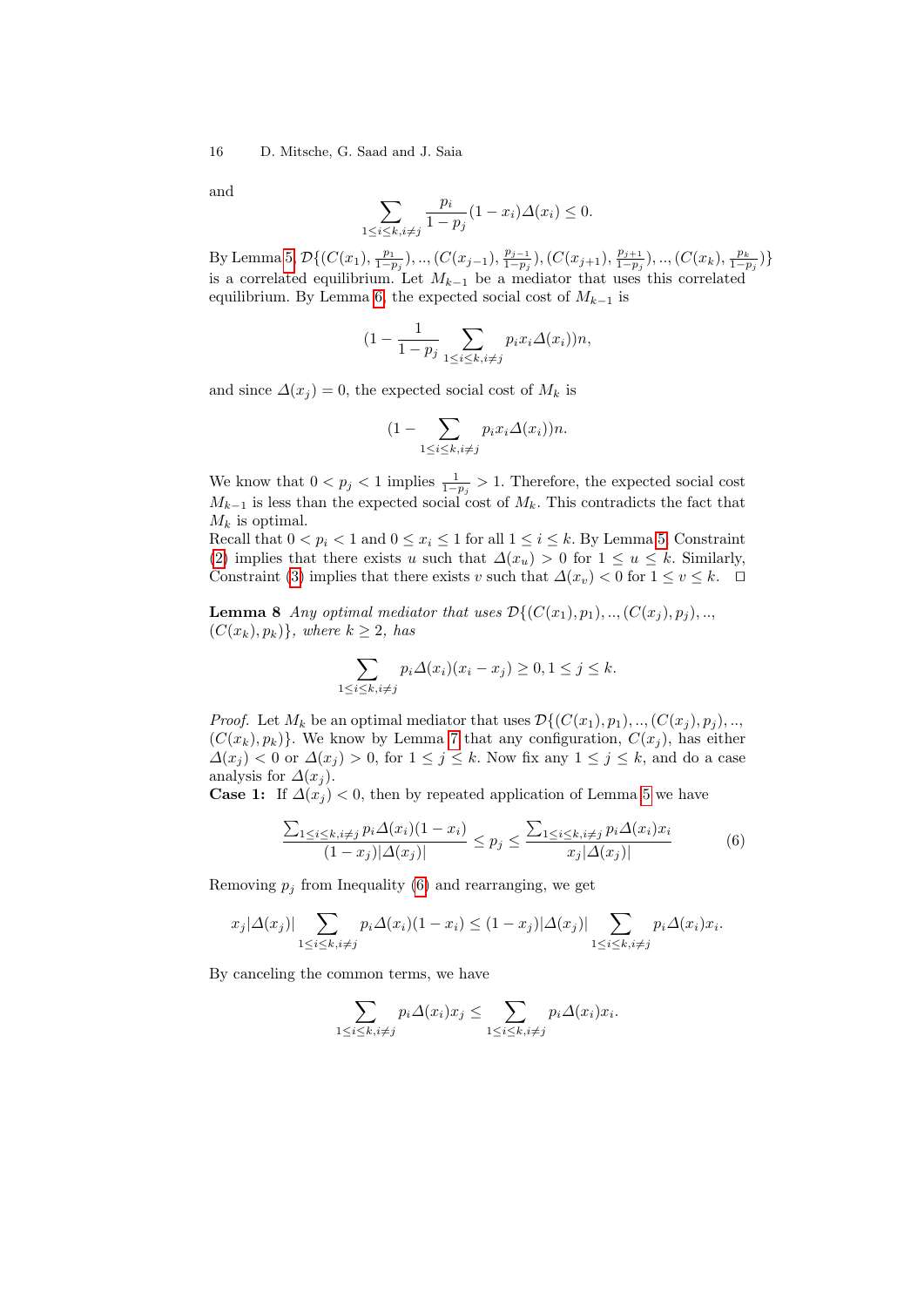and

$$
\sum_{1 \le i \le k, i \ne j} \frac{p_i}{1 - p_j} (1 - x_i) \Delta(x_i) \le 0.
$$

By Lemma [5,](#page-12-2)  $\mathcal{D}\{(C(x_1), \frac{p_1}{1-p_j}),..,(C(x_{j-1}), \frac{p_{j-1}}{1-p_j})\}$  $\frac{p_{j-1}}{1-p_j}$ ),  $(C(x_{j+1}), \frac{p_{j+1}}{1-p_j})$  $\frac{p_{j+1}}{1-p_j}),\ldots,(C(x_k),\frac{p_k}{1-p_j})\}$ is a correlated equilibrium. Let  $M_{k-1}$  be a mediator that uses this correlated equilibrium. By Lemma [6,](#page-13-2) the expected social cost of  $M_{k-1}$  is

$$
(1 - \frac{1}{1 - p_j} \sum_{1 \le i \le k, i \ne j} p_i x_i \Delta(x_i)) n,
$$

and since  $\Delta(x_j) = 0$ , the expected social cost of  $M_k$  is

$$
(1 - \sum_{1 \le i \le k, i \ne j} p_i x_i \Delta(x_i)) n.
$$

We know that  $0 < p_j < 1$  implies  $\frac{1}{1-p_j} > 1$ . Therefore, the expected social cost  $M_{k-1}$  is less than the expected social cost of  $M_k$ . This contradicts the fact that  $M_k$  is optimal.

Recall that  $0 < p_i < 1$  and  $0 \le x_i \le 1$  for all  $1 \le i \le k$ . By Lemma [5,](#page-12-2) Constraint [\(2\)](#page-12-0) implies that there exists u such that  $\Delta(x_u) > 0$  for  $1 \le u \le k$ . Similarly, Constraint [\(3\)](#page-12-1) implies that there exists v such that  $\Delta(x_v) < 0$  for  $1 \le v \le k$ .  $\Box$ 

<span id="page-15-1"></span>**Lemma 8** Any optimal mediator that uses  $\mathcal{D}\{(C(x_1), p_1), \ldots, (C(x_i), p_i), \ldots\}$  $(C(x_k), p_k)$ , where  $k \geq 2$ , has

$$
\sum_{1 \le i \le k, i \ne j} p_i \Delta(x_i)(x_i - x_j) \ge 0, 1 \le j \le k.
$$

*Proof.* Let  $M_k$  be an optimal mediator that uses  $\mathcal{D}\{(C(x_1), p_1), ..., (C(x_j), p_j), ...,$  $(C(x_k), p_k)$ . We know by Lemma [7](#page-14-0) that any configuration,  $C(x_i)$ , has either  $\Delta(x_j) < 0$  or  $\Delta(x_j) > 0$ , for  $1 \leq j \leq k$ . Now fix any  $1 \leq j \leq k$ , and do a case analysis for  $\Delta(x_i)$ .

**Case 1:** If  $\Delta(x_i) < 0$ , then by repeated application of Lemma [5](#page-12-2) we have

<span id="page-15-0"></span>
$$
\frac{\sum_{1 \le i \le k, i \ne j} p_i \Delta(x_i)(1 - x_i)}{(1 - x_j)|\Delta(x_j)|} \le p_j \le \frac{\sum_{1 \le i \le k, i \ne j} p_i \Delta(x_i)x_i}{x_j|\Delta(x_j)|} \tag{6}
$$

Removing  $p_j$  from Inequality [\(6\)](#page-15-0) and rearranging, we get

$$
x_j|\Delta(x_j)|\sum_{1\leq i\leq k, i\neq j} p_i\Delta(x_i)(1-x_i)\leq (1-x_j)|\Delta(x_j)|\sum_{1\leq i\leq k, i\neq j} p_i\Delta(x_i)x_i.
$$

By canceling the common terms, we have

$$
\sum_{1 \le i \le k, i \ne j} p_i \Delta(x_i) x_j \le \sum_{1 \le i \le k, i \ne j} p_i \Delta(x_i) x_i.
$$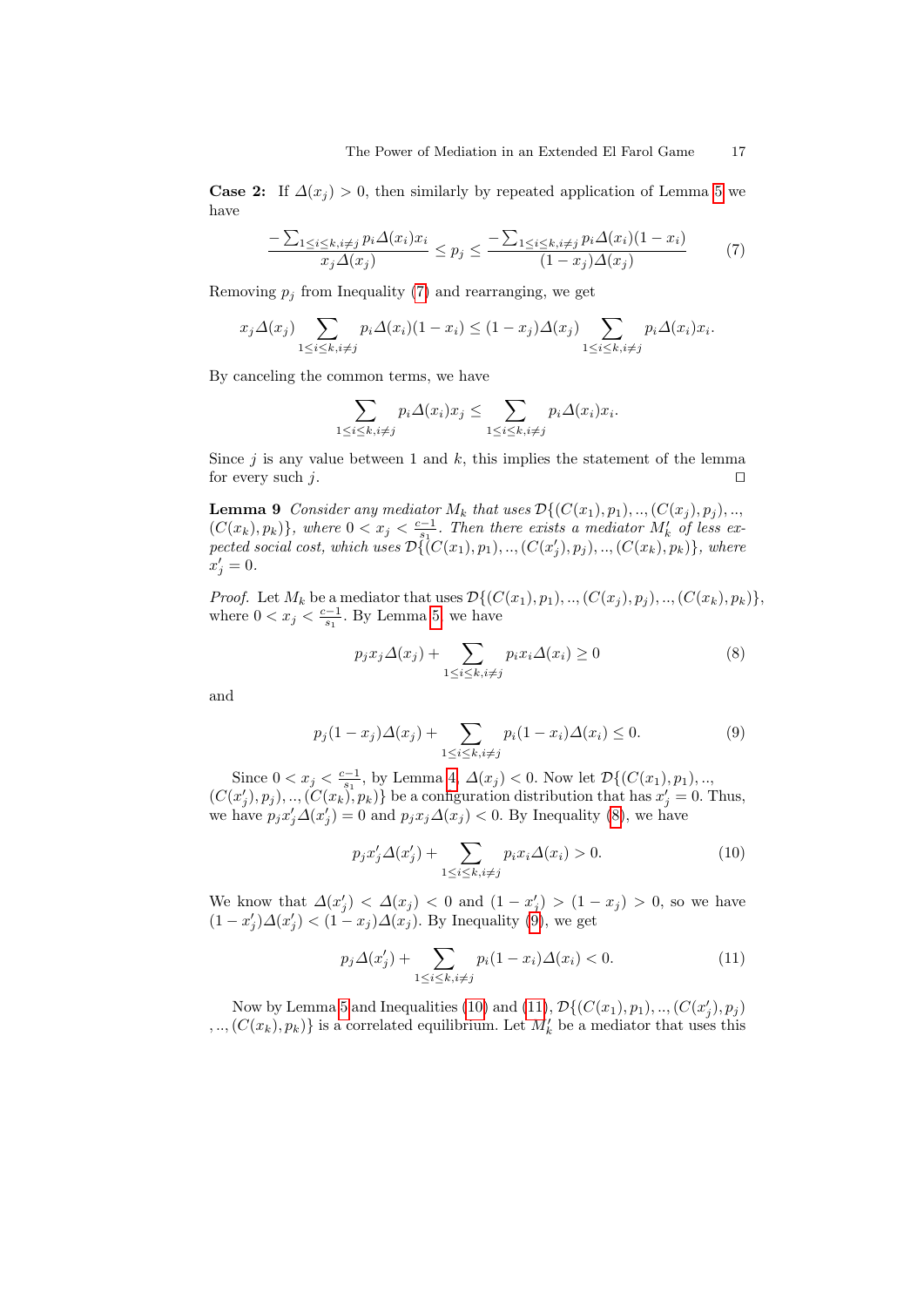**Case 2:** If  $\Delta(x_j) > 0$ , then similarly by repeated application of Lemma [5](#page-12-2) we have

<span id="page-16-0"></span>
$$
\frac{-\sum_{1\leq i\leq k, i\neq j} p_i \Delta(x_i) x_i}{x_j \Delta(x_j)} \leq p_j \leq \frac{-\sum_{1\leq i\leq k, i\neq j} p_i \Delta(x_i)(1-x_i)}{(1-x_j)\Delta(x_j)}\tag{7}
$$

Removing  $p_j$  from Inequality [\(7\)](#page-16-0) and rearranging, we get

$$
x_j \Delta(x_j) \sum_{1 \le i \le k, i \ne j} p_i \Delta(x_i) (1 - x_i) \le (1 - x_j) \Delta(x_j) \sum_{1 \le i \le k, i \ne j} p_i \Delta(x_i) x_i.
$$

By canceling the common terms, we have

$$
\sum_{1 \le i \le k, i \ne j} p_i \Delta(x_i) x_j \le \sum_{1 \le i \le k, i \ne j} p_i \Delta(x_i) x_i.
$$

Since  $j$  is any value between 1 and  $k$ , this implies the statement of the lemma for every such  $j$ .

<span id="page-16-5"></span>**Lemma 9** Consider any mediator  $M_k$  that uses  $\mathcal{D}\{(C(x_1), p_1), ..., (C(x_j), p_j), ...,$  $(C(x_k), p_k)$ , where  $0 < x_j < \frac{c-1}{s_1}$ . Then there exists a mediator  $M'_k$  of less expected social cost, which uses  $\mathcal{D}(\zeta^1(C(x_1), p_1), ..., (C(x'_j), p_j), ..., (C(x_k), p_k))$ , where  $x'_j = 0.$ 

*Proof.* Let  $M_k$  be a mediator that uses  $\mathcal{D}\{(C(x_1), p_1), ..., (C(x_j), p_j), ..., (C(x_k), p_k)\},$ where  $0 < x_j < \frac{c-1}{s_1}$ . By Lemma [5,](#page-12-2) we have

<span id="page-16-1"></span>
$$
p_j x_j \Delta(x_j) + \sum_{1 \le i \le k, i \ne j} p_i x_i \Delta(x_i) \ge 0
$$
\n(8)

and

<span id="page-16-2"></span>
$$
p_j(1 - x_j) \Delta(x_j) + \sum_{1 \le i \le k, i \ne j} p_i(1 - x_i) \Delta(x_i) \le 0.
$$
 (9)

Since  $0 < x_j < \frac{c-1}{s_1}$ , by Lemma [4,](#page-12-3)  $\Delta(x_j) < 0$ . Now let  $\mathcal{D}\{(C(x_1), p_1), ...,$  $(C(x'_j), p_j), ..., (C(x_k), p_k)$  be a configuration distribution that has  $x'_j = 0$ . Thus, we have  $p_j x'_j \Delta(x'_j) = 0$  and  $p_j x_j \Delta(x_j) < 0$ . By Inequality [\(8\)](#page-16-1), we have

<span id="page-16-3"></span>
$$
p_j x_j' \Delta(x_j') + \sum_{1 \le i \le k, i \ne j} p_i x_i \Delta(x_i) > 0.
$$
 (10)

We know that  $\Delta(x'_j) < \Delta(x_j) < 0$  and  $(1 - x'_j) > (1 - x_j) > 0$ , so we have  $(1-x_j')\Delta(x_j') < (1-x_j)\Delta(x_j)$ . By Inequality [\(9\)](#page-16-2), we get

<span id="page-16-4"></span>
$$
p_j \Delta(x'_j) + \sum_{1 \le i \le k, i \ne j} p_i (1 - x_i) \Delta(x_i) < 0. \tag{11}
$$

Now by Lemma [5](#page-12-2) and Inequalities [\(10\)](#page-16-3) and [\(11\)](#page-16-4),  $\mathcal{D}\{(C(x_1), p_1), \ldots, (C(x'_j), p_j)\}$  $,...,(C(x_k), p_k)$  is a correlated equilibrium. Let  $M'_k$  be a mediator that uses this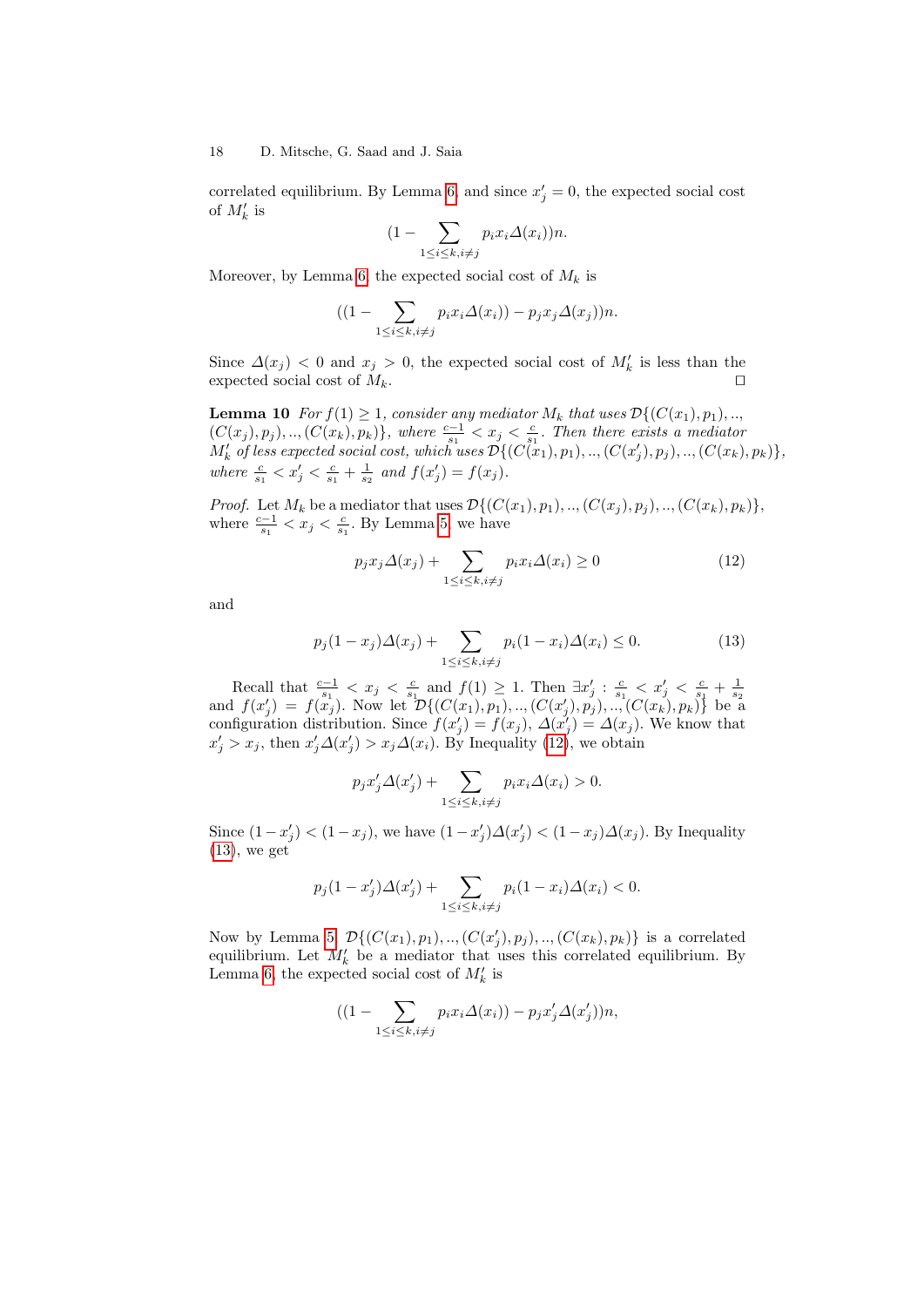correlated equilibrium. By Lemma [6,](#page-13-2) and since  $x'_{j} = 0$ , the expected social cost of  $M'_k$  is

$$
(1 - \sum_{1 \le i \le k, i \ne j} p_i x_i \Delta(x_i)) n.
$$

Moreover, by Lemma [6,](#page-13-2) the expected social cost of  $M_k$  is

$$
((1-\sum_{1\leq i\leq k, i\neq j}p_ix_i\varDelta(x_i))-p_jx_j\varDelta(x_j))n.
$$

Since  $\Delta(x_j)$  < 0 and  $x_j > 0$ , the expected social cost of  $M'_k$  is less than the expected social cost of  $M_k$ .

<span id="page-17-2"></span>**Lemma 10** For  $f(1) \geq 1$ , consider any mediator  $M_k$  that uses  $\mathcal{D}\{(C(x_1), p_1), \ldots, C(x_k)\}$  $(C(x_j), p_j), ..., (C(x_k), p_k)$ , where  $\frac{c-1}{s_1} < x_j < \frac{c}{s_1}$ . Then there exists a mediator  $M'_k$  of less expected social cost, which uses  $\mathcal{D}\{(C(x_1), p_1),..,(C(x_j'), p_j),..,(C(x_k), p_k)\},$ where  $\frac{c}{s_1} < x'_j < \frac{c}{s_1} + \frac{1}{s_2}$  and  $f(x'_j) = f(x_j)$ .

*Proof.* Let  $M_k$  be a mediator that uses  $\mathcal{D}\{(C(x_1), p_1), ..., (C(x_j), p_j), ..., (C(x_k), p_k)\}\$ where  $\frac{c-1}{s_1} < x_j < \frac{c}{s_1}$ . By Lemma [5,](#page-12-2) we have

<span id="page-17-0"></span>
$$
p_j x_j \Delta(x_j) + \sum_{1 \le i \le k, i \ne j} p_i x_i \Delta(x_i) \ge 0 \tag{12}
$$

and

<span id="page-17-1"></span>
$$
p_j(1 - x_j)\Delta(x_j) + \sum_{1 \le i \le k, i \ne j} p_i(1 - x_i)\Delta(x_i) \le 0.
$$
 (13)

Recall that  $\frac{c-1}{s_1} < x_j < \frac{c}{s_1}$  and  $f(1) \geq 1$ . Then  $\exists x'_j : \frac{c}{s_1} < x'_j < \frac{c}{s_1} + \frac{1}{s_2}$ <br>and  $f(x'_j) = f(x_j)$ . Now let  $\mathcal{D}\{(C(x_1), p_1), ..., (C(x'_j), p_j), ..., (C(x_k), p_k)\}\)$  be a configuration distribution. Since  $f(x'_j) = f(x_j)$ ,  $\Delta(x'_j) = \Delta(x_j)$ . We know that  $x'_j > x_j$ , then  $x'_j \Delta(x'_j) > x_j \Delta(x_i)$ . By Inequality [\(12\)](#page-17-0), we obtain

$$
p_j x'_j \Delta(x'_j) + \sum_{1 \le i \le k, i \ne j} p_i x_i \Delta(x_i) > 0.
$$

Since  $(1-x'_j) < (1-x_j)$ , we have  $(1-x'_j)\Delta(x'_j) < (1-x_j)\Delta(x_j)$ . By Inequality  $(13)$ , we get

$$
p_j(1 - x_j')\Delta(x_j') + \sum_{1 \le i \le k, i \ne j} p_i(1 - x_i)\Delta(x_i) < 0.
$$

Now by Lemma [5,](#page-12-2)  $\mathcal{D}\{(C(x_1), p_1), ..., (C(x'_j), p_j), ..., (C(x_k), p_k)\}\$ is a correlated equilibrium. Let  $M'_k$  be a mediator that uses this correlated equilibrium. By Lemma [6,](#page-13-2) the expected social cost of  $M'_k$  is

$$
((1 - \sum_{1 \le i \le k, i \ne j} p_i x_i \Delta(x_i)) - p_j x'_j \Delta(x'_j))n,
$$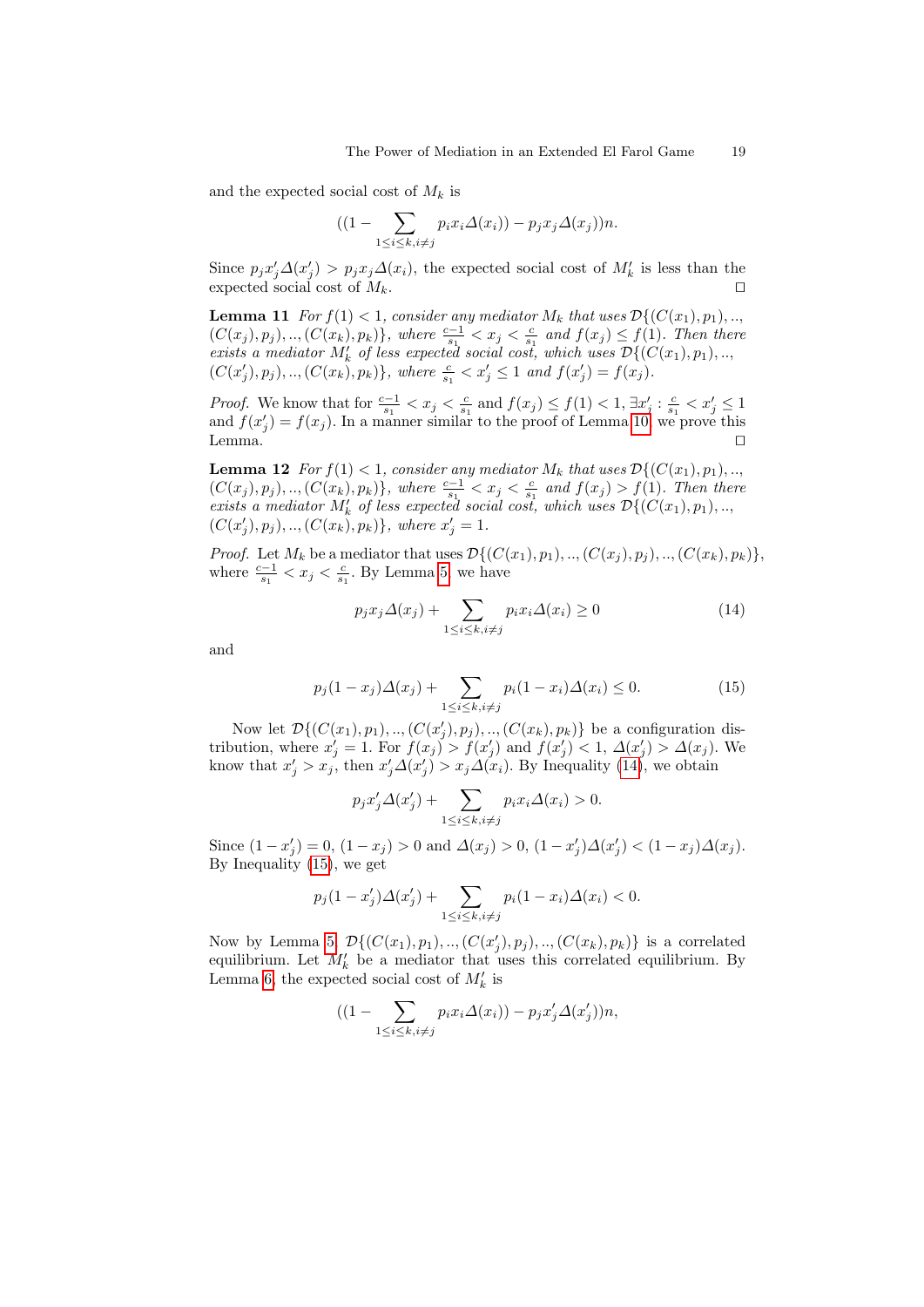and the expected social cost of  $M_k$  is

$$
((1-\sum_{1\leq i\leq k, i\neq j}p_ix_i\Delta(x_i))-p_jx_j\Delta(x_j))n.
$$

Since  $p_j x'_j \Delta(x'_j) > p_j x_j \Delta(x_i)$ , the expected social cost of  $M'_k$  is less than the expected social cost of  $M_k$ .

<span id="page-18-2"></span>**Lemma 11** For  $f(1) < 1$ , consider any mediator  $M_k$  that uses  $\mathcal{D}\{(C(x_1), p_1), \ldots, C(x_k)\}$  $(C(x_j), p_j), ..., (C(x_k), p_k) \},$  where  $\frac{c-1}{s_1} < x_j < \frac{c}{s_1}$  and  $f(x_j) \leq f(1)$ . Then there exists a mediator  $M'_k$  of less expected social cost, which uses  $\mathcal{D}\{(C(x_1), p_1), \ldots,$  $(C(x'_j), p_j), ..., (C(x_k), p_k) \},$  where  $\frac{c}{s_1} < x'_j \leq 1$  and  $f(x'_j) = f(x_j)$ .

*Proof.* We know that for  $\frac{c-1}{s_1} < x_j < \frac{c}{s_1}$  and  $f(x_j) \leq f(1) < 1$ ,  $\exists x'_j : \frac{c}{s_1} < x'_j \leq 1$ and  $f(x'_j) = f(x_j)$ . In a manner similar to the proof of Lemma [10,](#page-17-2) we prove this  $L$ emma.  $\Box$ 

<span id="page-18-3"></span>**Lemma 12** For  $f(1) < 1$ , consider any mediator  $M_k$  that uses  $\mathcal{D}\{(C(x_1), p_1), \ldots, C(x_k)\}$  $(C(x_j), p_j), ..., (C(x_k), p_k) \},$  where  $\frac{c-1}{s_1} < x_j < \frac{c}{s_1}$  and  $f(x_j) > f(1)$ . Then there exists a mediator  $M'_k$  of less expected social cost, which uses  $\mathcal{D}\{(C(x_1), p_1), \ldots,$  $(C(x'_j), p_j), ..., (C(x_k), p_k) \},$  where  $x'_j = 1$ .

*Proof.* Let  $M_k$  be a mediator that uses  $\mathcal{D}\{(C(x_1), p_1), ..., (C(x_j), p_j), ..., (C(x_k), p_k)\},$ where  $\frac{c-1}{s_1} < x_j < \frac{c}{s_1}$ . By Lemma [5,](#page-12-2) we have

<span id="page-18-0"></span>
$$
p_j x_j \Delta(x_j) + \sum_{1 \le i \le k, i \ne j} p_i x_i \Delta(x_i) \ge 0 \tag{14}
$$

and

<span id="page-18-1"></span>
$$
p_j(1 - x_j)\Delta(x_j) + \sum_{1 \le i \le k, i \ne j} p_i(1 - x_i)\Delta(x_i) \le 0.
$$
 (15)

Now let  $\mathcal{D}\{(C(x_1), p_1), \ldots, (C(x'_j), p_j), \ldots, (C(x_k), p_k)\}\)$  be a configuration distribution, where  $x'_j = 1$ . For  $f(x_j) > f(x'_j)$  and  $f(x'_j) < 1$ ,  $\Delta(x'_j) > \Delta(x_j)$ . We know that  $x'_j > x_j$ , then  $x'_j \Delta(x'_j) > x_j \Delta(x_i)$ . By Inequality [\(14\)](#page-18-0), we obtain

$$
p_j x'_j \Delta(x'_j) + \sum_{1 \le i \le k, i \ne j} p_i x_i \Delta(x_i) > 0.
$$

Since  $(1-x'_j) = 0$ ,  $(1-x_j) > 0$  and  $\Delta(x_j) > 0$ ,  $(1-x'_j)\Delta(x'_j) < (1-x_j)\Delta(x_j)$ . By Inequality [\(15\)](#page-18-1), we get

$$
p_j(1 - x_j')\Delta(x_j') + \sum_{1 \le i \le k, i \ne j} p_i(1 - x_i)\Delta(x_i) < 0.
$$

Now by Lemma [5,](#page-12-2)  $\mathcal{D}\{(C(x_1), p_1), ..., (C(x'_j), p_j), ..., (C(x_k), p_k)\}\$ is a correlated equilibrium. Let  $M'_k$  be a mediator that uses this correlated equilibrium. By Lemma [6,](#page-13-2) the expected social cost of  $M'_k$  is

$$
((1 - \sum_{1 \le i \le k, i \ne j} p_i x_i \Delta(x_i)) - p_j x'_j \Delta(x'_j))n,
$$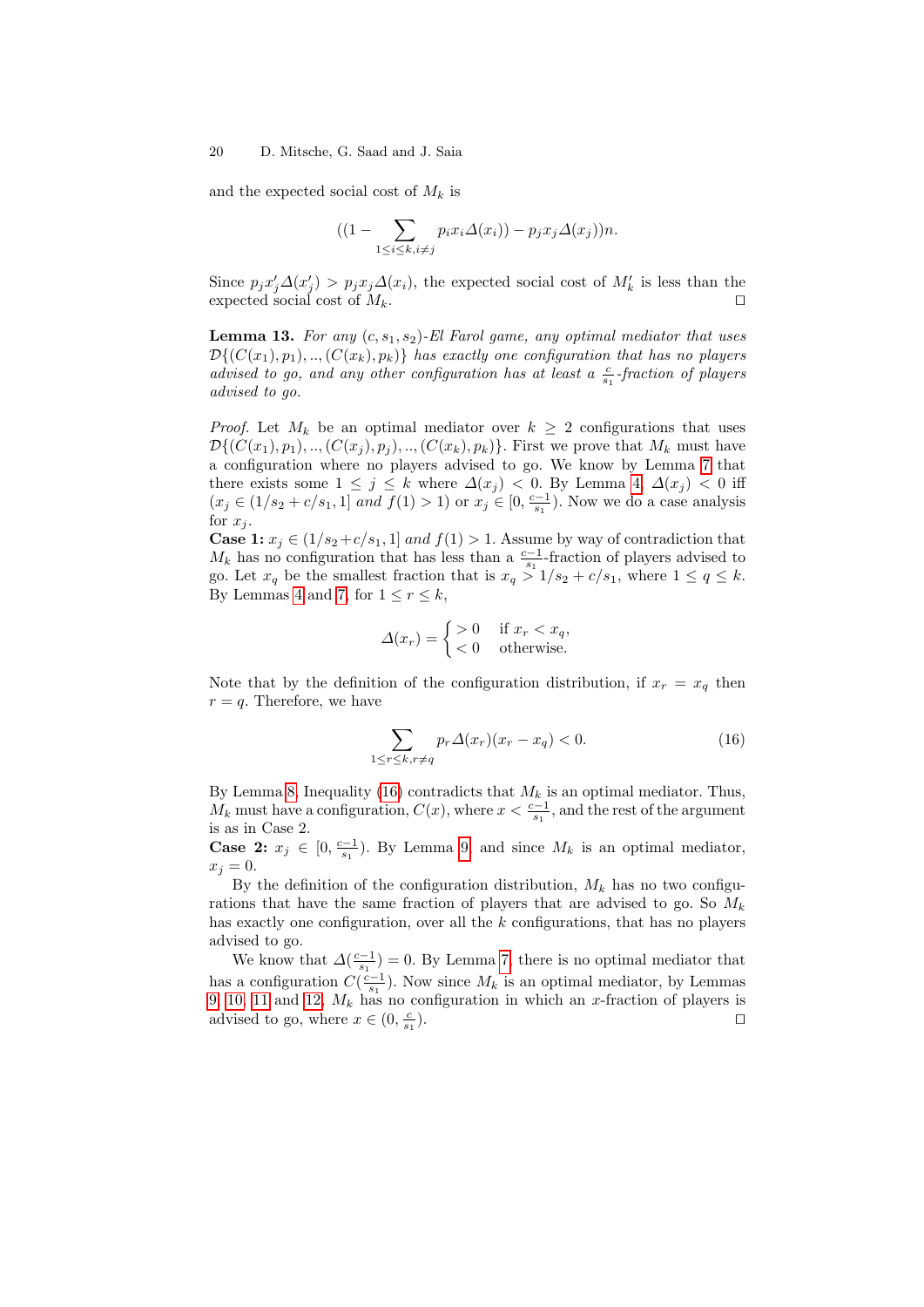and the expected social cost of  $M_k$  is

$$
((1-\sum_{1\leq i\leq k, i\neq j}p_ix_i\Delta(x_i))-p_jx_j\Delta(x_j))n.
$$

Since  $p_j x'_j \Delta(x'_j) > p_j x_j \Delta(x_i)$ , the expected social cost of  $M'_k$  is less than the expected social cost of  $M_k$ .

<span id="page-19-2"></span>**Lemma 13.** For any  $(c, s_1, s_2)$ -El Farol game, any optimal mediator that uses  $\mathcal{D}\{(C(x_1), p_1), \ldots, (C(x_k), p_k)\}\$  has exactly one configuration that has no players advised to go, and any other configuration has at least a  $\frac{c}{s_1}$ -fraction of players advised to go.

*Proof.* Let  $M_k$  be an optimal mediator over  $k \geq 2$  configurations that uses  $\mathcal{D}\{(C(x_1), p_1), ..., (C(x_j), p_j), ..., (C(x_k), p_k)\}.$  First we prove that  $M_k$  must have a configuration where no players advised to go. We know by Lemma [7](#page-14-0) that there exists some  $1 \leq j \leq k$  where  $\Delta(x_j) < 0$ . By Lemma [4,](#page-12-3)  $\Delta(x_j) < 0$  iff  $(x_j \in (1/s_2 + c/s_1, 1] \text{ and } f(1) > 1) \text{ or } x_j \in [0, \frac{c-1}{s_1})$ . Now we do a case analysis for  $x_i$ .

**Case 1:**  $x_j \in (1/s_2+c/s_1, 1]$  and  $f(1) > 1$ . Assume by way of contradiction that  $M_k$  has no configuration that has less than a  $\frac{c-1}{s_1}$ -fraction of players advised to go. Let  $x_q$  be the smallest fraction that is  $x_q > 1/s_2 + c/s_1$ , where  $1 \le q \le k$ . By Lemmas [4](#page-12-3) and [7,](#page-14-0) for  $1 \le r \le k$ ,

$$
\Delta(x_r) = \begin{cases} > 0 & \text{if } x_r < x_q, \\ < 0 & \text{otherwise.} \end{cases}
$$

Note that by the definition of the configuration distribution, if  $x_r = x_q$  then  $r = q$ . Therefore, we have

<span id="page-19-0"></span>
$$
\sum_{1 \le r \le k, r \ne q} p_r \Delta(x_r)(x_r - x_q) < 0. \tag{16}
$$

By Lemma [8,](#page-15-1) Inequality [\(16\)](#page-19-0) contradicts that  $M_k$  is an optimal mediator. Thus,  $M_k$  must have a configuration,  $C(x)$ , where  $x < \frac{c-1}{s_1}$ , and the rest of the argument is as in Case 2.

**Case 2:**  $x_j \in [0, \frac{c-1}{s_1})$ . By Lemma [9,](#page-16-5) and since  $M_k$  is an optimal mediator,  $x_j = 0.$ 

By the definition of the configuration distribution,  $M_k$  has no two configurations that have the same fraction of players that are advised to go. So  $M_k$ has exactly one configuration, over all the  $k$  configurations, that has no players advised to go.

<span id="page-19-1"></span>We know that  $\Delta(\frac{c-1}{s_1})=0$ . By Lemma [7,](#page-14-0) there is no optimal mediator that has a configuration  $C(\frac{c-1}{s_1})$ . Now since  $M_k$  is an optimal mediator, by Lemmas [9,](#page-16-5) [10,](#page-17-2) [11](#page-18-2) and [12,](#page-18-3)  $M_k$  has no configuration in which an x-fraction of players is advised to go, where  $x \in (0, \frac{c}{s_1})$ ).  $\Box$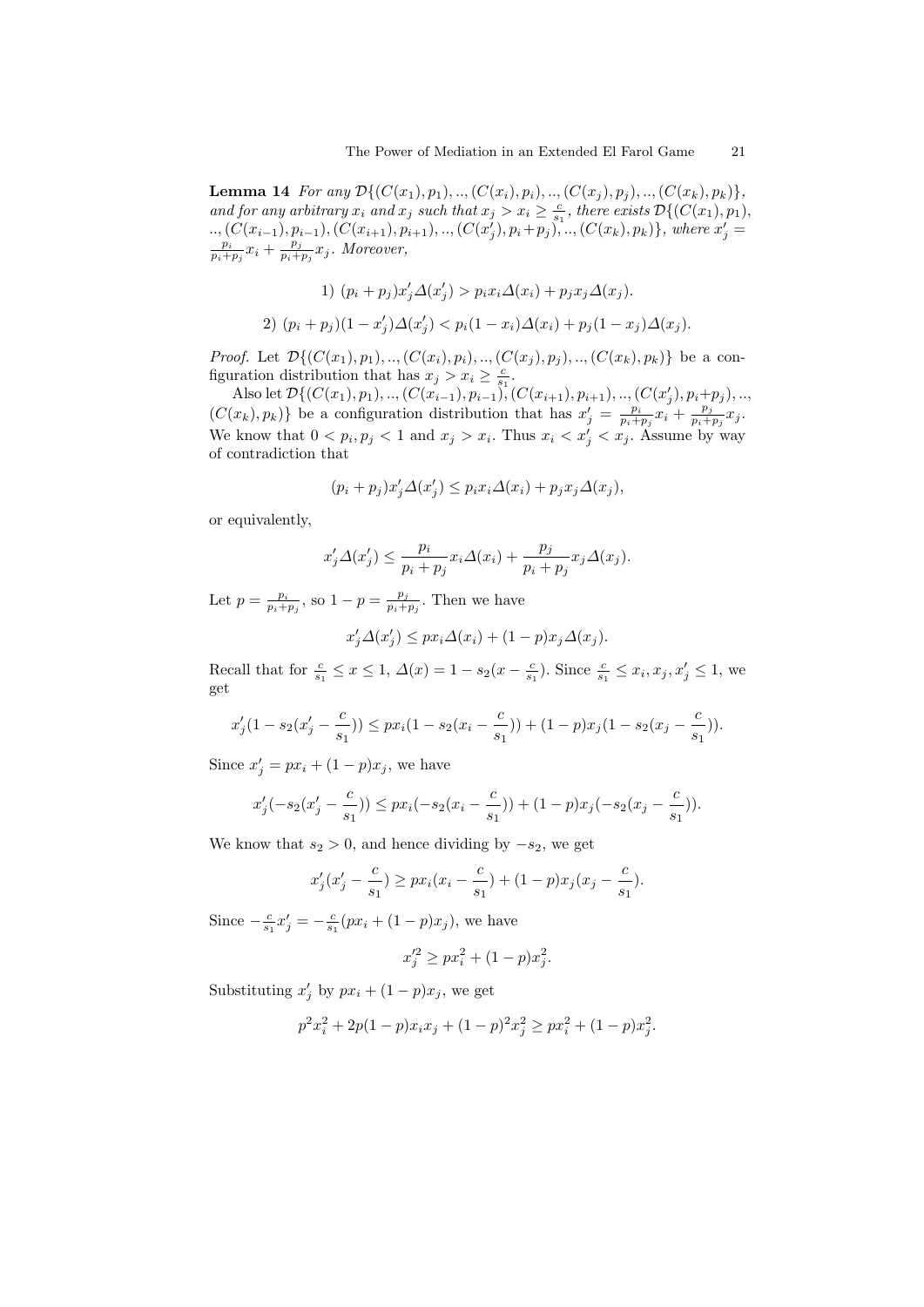**Lemma 14** For any  $\mathcal{D}\{(C(x_1), p_1), ..., (C(x_i), p_i), ..., (C(x_j), p_j), ..., (C(x_k), p_k)\},$ and for any arbitrary  $x_i$  and  $x_j$  such that  $x_j > x_i \geq \frac{c}{s_1}$ , there exists  $\mathcal{D}\{(C(x_1), p_1),$ ..,  $(C(x_{i-1}), p_{i-1}), (C(x_{i+1}), p_{i+1}), ..., (C(x_j), p_i+p_j), ..., (C(x_k), p_k)$ , where  $x'_j = \frac{p_i}{p_i+p_j}x_i + \frac{p_j}{p_i+p_j}x_j$ . Moreover,  $\frac{p_j}{p_i+p_j}x_j$ . Moreover,

1) 
$$
(p_i + p_j)x'_j \Delta(x'_j) > p_i x_i \Delta(x_i) + p_j x_j \Delta(x_j).
$$
  
2)  $(p_i + p_j)(1 - x'_j) \Delta(x'_j) < p_i(1 - x_i) \Delta(x_i) + p_j(1 - x_j) \Delta(x_j).$ 

*Proof.* Let  $\mathcal{D}\{(C(x_1), p_1), ..., (C(x_i), p_i), ..., (C(x_j), p_j), ..., (C(x_k), p_k)\}\)$  be a configuration distribution that has  $x_j > x_i \geq \frac{c}{s_1}$ .

Also let  $\mathcal{D}\{(C(x_1), p_1), ..., (C(x_{i-1}), p_{i-1}), (C(x_{i+1}), p_{i+1}), ..., (C(x'_j), p_i+p_j), ...,$  $(C(x_k), p_k)$  be a configuration distribution that has  $x'_j = \frac{p_i}{p_i + p_j} x_i + \frac{p_j}{p_i + p_j}$  $\frac{p_j}{p_i+p_j}x_j.$ We know that  $0 < p_i, p_j < 1$  and  $x_j > x_i$ . Thus  $x_i < x'_j < x_j$ . Assume by way of contradiction that

$$
(p_i + p_j)x'_j \Delta(x'_j) \le p_i x_i \Delta(x_i) + p_j x_j \Delta(x_j),
$$

or equivalently,

$$
x'_j \Delta(x'_j) \leq \frac{p_i}{p_i + p_j} x_i \Delta(x_i) + \frac{p_j}{p_i + p_j} x_j \Delta(x_j).
$$

Let  $p = \frac{p_i}{p_i + p_j}$ , so  $1 - p = \frac{p_j}{p_i + p_j}$  $\frac{p_j}{p_i+p_j}$ . Then we have

$$
x'_j \Delta(x'_j) \le px_i \Delta(x_i) + (1 - p)x_j \Delta(x_j).
$$

Recall that for  $\frac{c}{s_1} \leq x \leq 1$ ,  $\Delta(x) = 1 - s_2(x - \frac{c}{s_1})$ . Since  $\frac{c}{s_1} \leq x_i, x_j, x'_j \leq 1$ , we get

$$
x'_j(1 - s_2(x'_j - \frac{c}{s_1})) \le px_i(1 - s_2(x_i - \frac{c}{s_1})) + (1 - p)x_j(1 - s_2(x_j - \frac{c}{s_1})).
$$

Since  $x'_j = px_i + (1 - p)x_j$ , we have

$$
x'_{j}(-s_2(x'_{j}-\frac{c}{s_1})) \le px_i(-s_2(x_i-\frac{c}{s_1})) + (1-p)x_{j}(-s_2(x_j-\frac{c}{s_1})).
$$

We know that  $s_2 > 0$ , and hence dividing by  $-s_2$ , we get

$$
x'_{j}(x'_{j} - \frac{c}{s_{1}}) \ge px_{i}(x_{i} - \frac{c}{s_{1}}) + (1-p)x_{j}(x_{j} - \frac{c}{s_{1}}).
$$

Since  $-\frac{c}{s_1}x'_j = -\frac{c}{s_1}(px_i + (1-p)x_j)$ , we have

$$
x_j'^2 \ge px_i^2 + (1 - p)x_j^2.
$$

Substituting  $x'_j$  by  $px_i + (1-p)x_j$ , we get

$$
p^{2}x_{i}^{2} + 2p(1-p)x_{i}x_{j} + (1-p)^{2}x_{j}^{2} \ge px_{i}^{2} + (1-p)x_{j}^{2}.
$$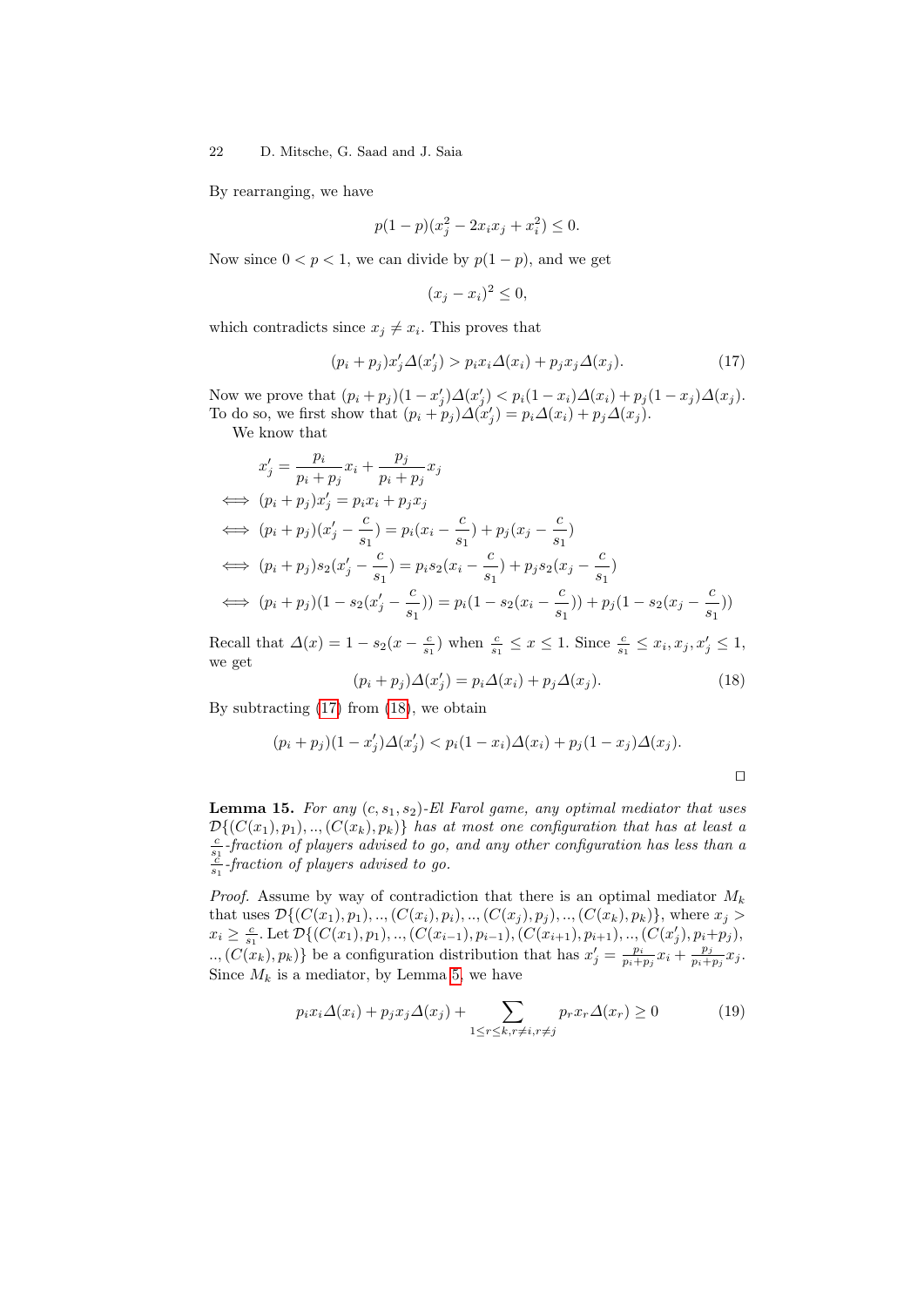By rearranging, we have

$$
p(1-p)(x_j^2 - 2x_ix_j + x_i^2) \le 0.
$$

Now since  $0 < p < 1$ , we can divide by  $p(1 - p)$ , and we get

$$
(x_j - x_i)^2 \le 0,
$$

which contradicts since  $x_j \neq x_i$ . This proves that

<span id="page-21-0"></span>
$$
(p_i + p_j)x'_j \Delta(x'_j) > p_i x_i \Delta(x_i) + p_j x_j \Delta(x_j). \tag{17}
$$

Now we prove that  $(p_i + p_j)(1 - x'_j)\Delta(x'_j) < p_i(1 - x_i)\Delta(x_i) + p_j(1 - x_j)\Delta(x_j)$ . To do so, we first show that  $(p_i + p_j) \Delta(x'_j) = p_i \Delta(x_i) + p_j \Delta(x_j)$ .

We know that

$$
x'_{j} = \frac{p_{i}}{p_{i} + p_{j}} x_{i} + \frac{p_{j}}{p_{i} + p_{j}} x_{j}
$$
  
\n
$$
\iff (p_{i} + p_{j})x'_{j} = p_{i}x_{i} + p_{j}x_{j}
$$
  
\n
$$
\iff (p_{i} + p_{j})(x'_{j} - \frac{c}{s_{1}}) = p_{i}(x_{i} - \frac{c}{s_{1}}) + p_{j}(x_{j} - \frac{c}{s_{1}})
$$
  
\n
$$
\iff (p_{i} + p_{j})s_{2}(x'_{j} - \frac{c}{s_{1}}) = p_{i}s_{2}(x_{i} - \frac{c}{s_{1}}) + p_{j}s_{2}(x_{j} - \frac{c}{s_{1}})
$$
  
\n
$$
\iff (p_{i} + p_{j})(1 - s_{2}(x'_{j} - \frac{c}{s_{1}})) = p_{i}(1 - s_{2}(x_{i} - \frac{c}{s_{1}})) + p_{j}(1 - s_{2}(x_{j} - \frac{c}{s_{1}}))
$$

Recall that  $\Delta(x) = 1 - s_2(x - \frac{c}{s_1})$  when  $\frac{c}{s_1} \leq x \leq 1$ . Since  $\frac{c}{s_1} \leq x_i, x_j, x'_j \leq 1$ , we get

<span id="page-21-1"></span>
$$
(p_i + p_j)\Delta(x'_j) = p_i\Delta(x_i) + p_j\Delta(x_j). \tag{18}
$$

By subtracting [\(17\)](#page-21-0) from [\(18\)](#page-21-1), we obtain

$$
(p_i + p_j)(1 - x'_j) \Delta(x'_j) < p_i(1 - x_i) \Delta(x_i) + p_j(1 - x_j) \Delta(x_j).
$$

<span id="page-21-3"></span>**Lemma 15.** For any  $(c, s_1, s_2)$ -El Farol game, any optimal mediator that uses  $\mathcal{D}\{(C(x_1), p_1), \ldots, (C(x_k), p_k)\}\$  has at most one configuration that has at least a  $\frac{c}{s_1}$ -fraction of players advised to go, and any other configuration has less than a  $\frac{c}{s_1}$ -fraction of players advised to go.

*Proof.* Assume by way of contradiction that there is an optimal mediator  $M_k$ that uses  $\mathcal{D}\{(C(x_1), p_1), ..., (C(x_i), p_i), ..., (C(x_j), p_j), ..., (C(x_k), p_k)\}\$ , where  $x_j >$  $x_i \geq \frac{c}{s_1}$ . Let  $\mathcal{D}\{(C(x_1), p_1), \ldots, (C(x_{i-1}), p_{i-1}), (C(x_{i+1}), p_{i+1}), \ldots, (C(x'_j), p_i+p_j),\}$  $\ldots$ ,  $(C(x_k), p_k)$  be a configuration distribution that has  $x'_j = \frac{p_i}{p_i + p_j} x_i + \frac{p_j}{p_i + p_j} x_j$  $\frac{p_j}{p_i+p_j}x_j.$ Since  $M_k$  is a mediator, by Lemma [5,](#page-12-2) we have

<span id="page-21-2"></span>
$$
p_i x_i \Delta(x_i) + p_j x_j \Delta(x_j) + \sum_{1 \le r \le k, r \ne i, r \ne j} p_r x_r \Delta(x_r) \ge 0 \tag{19}
$$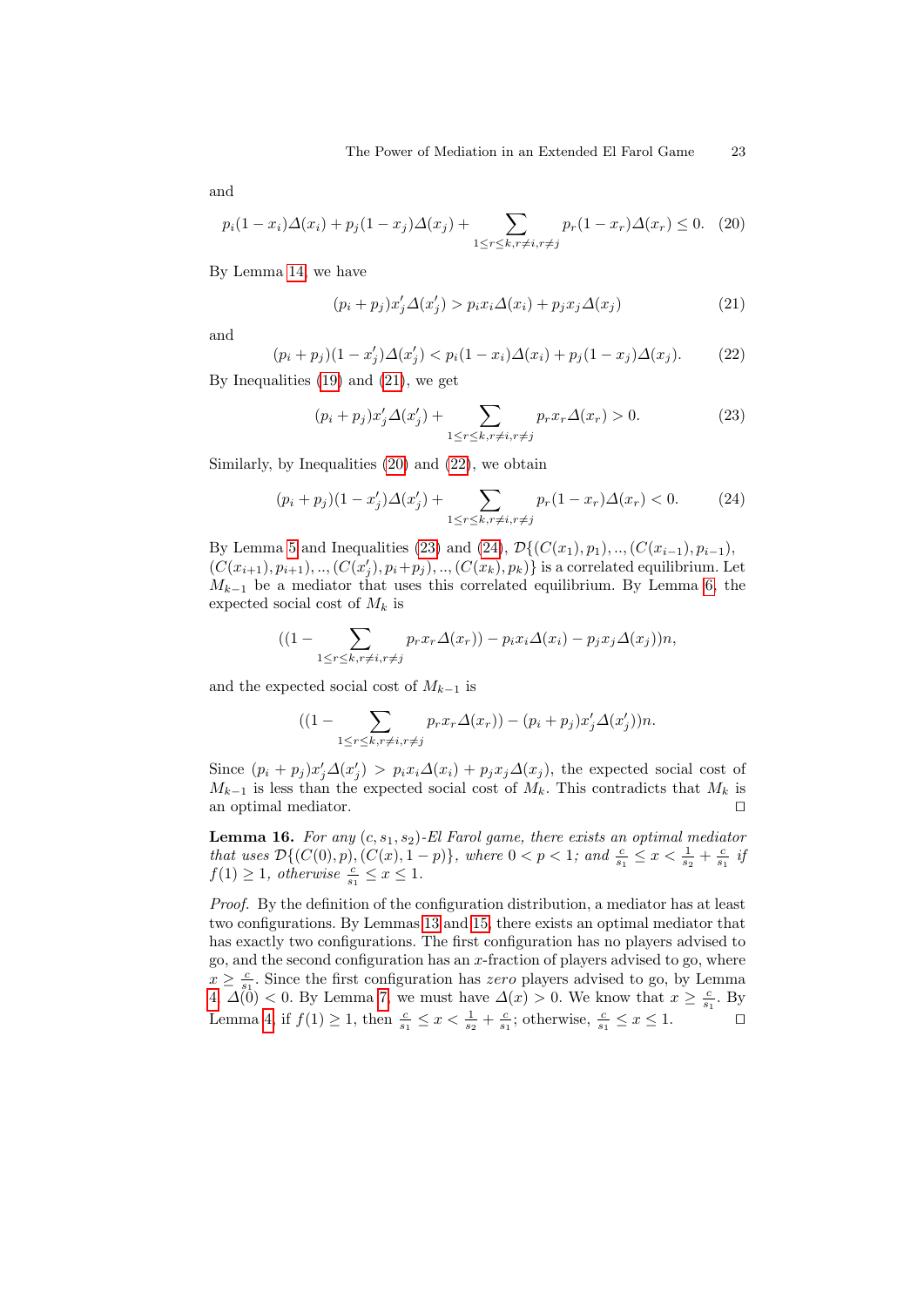and

<span id="page-22-1"></span>
$$
p_i(1-x_i)\Delta(x_i) + p_j(1-x_j)\Delta(x_j) + \sum_{1 \le r \le k, r \ne i, r \ne j} p_r(1-x_r)\Delta(x_r) \le 0. \tag{20}
$$

By Lemma [14,](#page-19-1) we have

<span id="page-22-0"></span>
$$
(p_i + p_j)x'_j \Delta(x'_j) > p_i x_i \Delta(x_i) + p_j x_j \Delta(x_j)
$$
\n(21)

and

<span id="page-22-2"></span>
$$
(p_i + p_j)(1 - x'_j)\Delta(x'_j) < p_i(1 - x_i)\Delta(x_i) + p_j(1 - x_j)\Delta(x_j). \tag{22}
$$

By Inequalities [\(19\)](#page-21-2) and [\(21\)](#page-22-0), we get

<span id="page-22-3"></span>
$$
(p_i + p_j)x'_j \Delta(x'_j) + \sum_{1 \le r \le k, r \ne i, r \ne j} p_r x_r \Delta(x_r) > 0.
$$
 (23)

Similarly, by Inequalities [\(20\)](#page-22-1) and [\(22\)](#page-22-2), we obtain

<span id="page-22-4"></span>
$$
(p_i + p_j)(1 - x'_j)\Delta(x'_j) + \sum_{1 \le r \le k, r \ne i, r \ne j} p_r(1 - x_r)\Delta(x_r) < 0. \tag{24}
$$

By Lemma [5](#page-12-2) and Inequalities [\(23\)](#page-22-3) and [\(24\)](#page-22-4),  $\mathcal{D}\{(C(x_1), p_1), \ldots, (C(x_{i-1}), p_{i-1}),\}$  $(C(x_{i+1}), p_{i+1}), ..., (C(x'_{j}), p_i+p_j), ..., (C(x_k), p_k)$  is a correlated equilibrium. Let  $M_{k-1}$  be a mediator that uses this correlated equilibrium. By Lemma [6,](#page-13-2) the expected social cost of  $M_k$  is

$$
((1-\sum_{1\leq r\leq k,r\neq i,r\neq j}p_rx_r\Delta(x_r))-p_ix_i\Delta(x_i)-p_jx_j\Delta(x_j))n,
$$

and the expected social cost of  $M_{k-1}$  is

$$
((1-\sum_{1\leq r\leq k,r\neq i,r\neq j}p_rx_r\Delta(x_r))-(p_i+p_j)x'_j\Delta(x'_j))n.
$$

Since  $(p_i + p_j)x'_j\Delta(x'_j) > p_ix_i\Delta(x_i) + p_jx_j\Delta(x_j)$ , the expected social cost of  $M_{k-1}$  is less than the expected social cost of  $M_k$ . This contradicts that  $M_k$  is an optimal mediator.  $\Box$ 

<span id="page-22-5"></span>**Lemma 16.** For any  $(c, s_1, s_2)$ -El Farol game, there exists an optimal mediator that uses  $\mathcal{D}\{(C(0), p), (C(x), 1-p)\},\$  where  $0 < p < 1$ ; and  $\frac{c}{s_1} \leq x < \frac{1}{s_2} + \frac{c}{s_1}$  if  $f(1) \geq 1$ , otherwise  $\frac{c}{s_1} \leq x \leq 1$ .

Proof. By the definition of the configuration distribution, a mediator has at least two configurations. By Lemmas [13](#page-19-2) and [15,](#page-21-3) there exists an optimal mediator that has exactly two configurations. The first configuration has no players advised to go, and the second configuration has an  $x$ -fraction of players advised to go, where  $x \geq \frac{c}{s}$ . Since the first configuration has *zero* players advised to go, by Lemma  $\mathcal{L} \leq s_1$ . Since the first comiguration has zero players advised to go, by Edition [4,](#page-12-3)  $\Delta(0) < 0$ . By Lemma [7,](#page-14-0) we must have  $\Delta(x) > 0$ . We know that  $x \geq \frac{c}{s_1}$ . By Lemma [4,](#page-12-3) if  $f(1) \geq 1$ , then  $\frac{c}{s_1} \leq x < \frac{1}{s_2} + \frac{c}{s_1}$ ; otherwise,  $\frac{c}{s_1} \leq x \leq 1$ .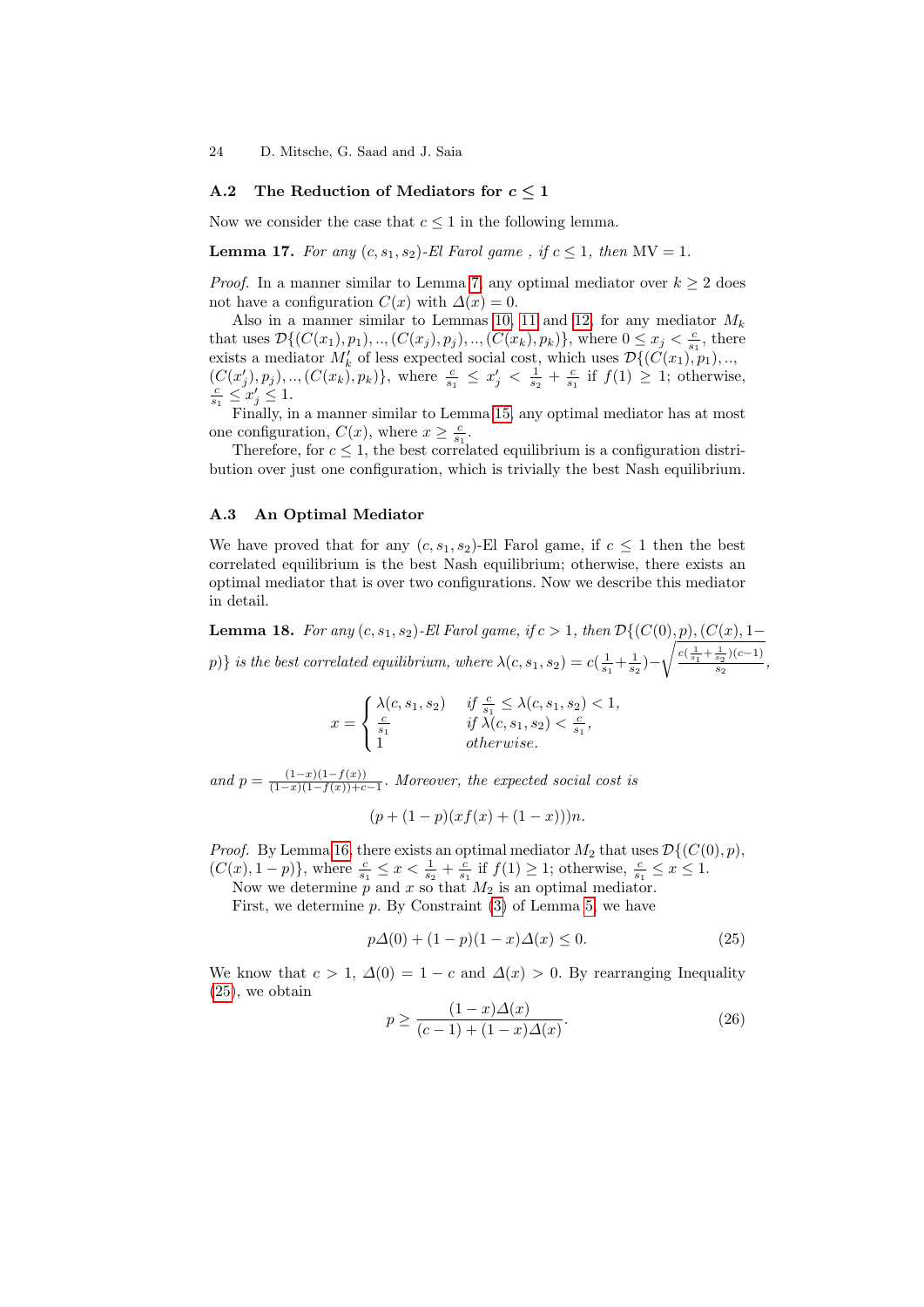### A.2 The Reduction of Mediators for  $c \leq 1$

<span id="page-23-2"></span>Now we consider the case that  $c \leq 1$  in the following lemma.

**Lemma 17.** For any  $(c, s_1, s_2)$ -El Farol game, if  $c \leq 1$ , then  $MV = 1$ .

*Proof.* In a manner similar to Lemma [7,](#page-14-0) any optimal mediator over  $k \geq 2$  does not have a configuration  $C(x)$  with  $\Delta(x) = 0$ .

Also in a manner similar to Lemmas [10,](#page-17-2) [11](#page-18-2) and [12,](#page-18-3) for any mediator  $M_k$ that uses  $\mathcal{D}\{(C(x_1), p_1), ..., (C(x_j), p_j), ..., (C(x_k), p_k)\}\)$ , where  $0 \leq x_j < \frac{c}{s_1}$ , there exists a mediator  $M'_k$  of less expected social cost, which uses  $\mathcal{D}\{(C(x_1), p_1), ...,$  $(C(x'_j), p_j), ..., (C(x_k), p_k)$ , where  $\frac{c}{s_1} \leq x'_j < \frac{1}{s_2} + \frac{c}{s_1}$  if  $f(1) \geq 1$ ; otherwise,  $\frac{c}{s_1} \leq x'_j \leq 1.$ 

Finally, in a manner similar to Lemma [15,](#page-21-3) any optimal mediator has at most one configuration,  $C(x)$ , where  $x \geq \frac{c}{\epsilon}$ .

Therefore, for  $c \leq 1$ , the best correlated equilibrium is a configuration distribution over just one configuration, which is trivially the best Nash equilibrium.

### A.3 An Optimal Mediator

We have proved that for any  $(c, s_1, s_2)$ -El Farol game, if  $c \leq 1$  then the best correlated equilibrium is the best Nash equilibrium; otherwise, there exists an optimal mediator that is over two configurations. Now we describe this mediator in detail.

<span id="page-23-3"></span>**Lemma 18.** For any  $(c, s_1, s_2)$ -El Farol game, if  $c > 1$ , then  $\mathcal{D}\{(C(0), p), (C(x), 1-\}$ p)} is the best correlated equilibrium, where  $\lambda(c, s_1, s_2) = c(\frac{1}{s_1} + \frac{1}{s_2}) \sqrt{\frac{c(\frac{1}{s_1} + \frac{1}{s_2})(c-1)}{c}}$  $\frac{s_2^{(k-1)}}{s_2},$ 

$$
x = \begin{cases} \lambda(c, s_1, s_2) & \text{if } \frac{c}{s_1} \le \lambda(c, s_1, s_2) < 1, \\ \frac{c}{s_1} & \text{if } \lambda(c, s_1, s_2) < \frac{c}{s_1}, \\ 1 & \text{otherwise.} \end{cases}
$$

and  $p = \frac{(1-x)(1-f(x))}{(1-x)(1-f(x))+c}$  $\frac{(1-x)(1-f(x))}{(1-x)(1-f(x))+c-1}$ . Moreover, the expected social cost is

$$
(p + (1 - p)(xf(x) + (1 - x)))n.
$$

*Proof.* By Lemma [16,](#page-22-5) there exists an optimal mediator  $M_2$  that uses  $\mathcal{D}\{(C(0), p),$  $(C(x), 1-p)$ , where  $\frac{c}{s_1} \leq x < \frac{1}{s_2} + \frac{c}{s_1}$  if  $f(1) \geq 1$ ; otherwise,  $\frac{c}{s_1} \leq x \leq 1$ .

Now we determine  $p$  and  $x$  so that  $M_2$  is an optimal mediator.

First, we determine  $p$ . By Constraint  $(3)$  of Lemma [5,](#page-12-2) we have

<span id="page-23-0"></span>
$$
p\Delta(0) + (1 - p)(1 - x)\Delta(x) \le 0.
$$
 (25)

We know that  $c > 1$ ,  $\Delta(0) = 1 - c$  and  $\Delta(x) > 0$ . By rearranging Inequality [\(25\)](#page-23-0), we obtain

<span id="page-23-1"></span>
$$
p \ge \frac{(1-x)\Delta(x)}{(c-1) + (1-x)\Delta(x)}.\tag{26}
$$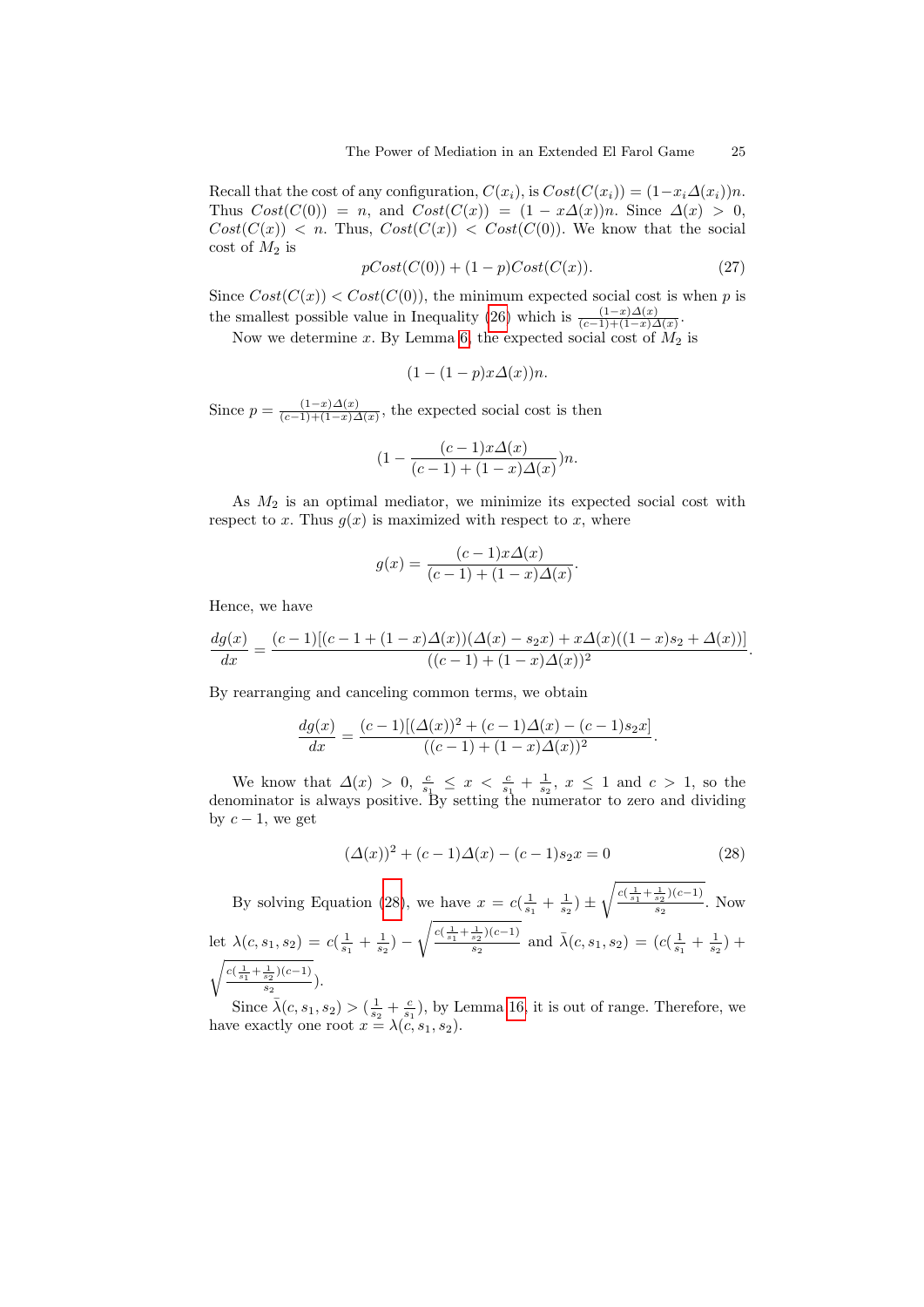Recall that the cost of any configuration,  $C(x_i)$ , is  $Cost(C(x_i)) = (1-x_i\Delta(x_i))n$ . Thus  $Cost(C(0)) = n$ , and  $Cost(C(x)) = (1 - x\Delta(x))n$ . Since  $\Delta(x) > 0$ ,  $Cost(C(x))$  < n. Thus,  $Cost(C(x))$  <  $Cost(C(0))$ . We know that the social cost of  $M_2$  is

$$
pCost(C(0)) + (1 - p)Cost(C(x)).
$$
\n
$$
(27)
$$

Since  $Cost(C(x)) < Cost(C(0))$ , the minimum expected social cost is when p is the smallest possible value in Inequality [\(26\)](#page-23-1) which is  $\frac{(1-x)\Delta(x)}{(c-1)+(1-x)\Delta(x)}$ .

Now we determine x. By Lemma [6,](#page-13-2) the expected social cost of  $\widetilde{M}_2$  is

$$
(1 - (1 - p)x\Delta(x))n.
$$

Since  $p = \frac{(1-x)\Delta(x)}{(c-1)+(1-x)}$  $\frac{(1-x)\Delta(x)}{(c-1)+(1-x)\Delta(x)}$ , the expected social cost is then

$$
(1 - \frac{(c-1)x\Delta(x)}{(c-1) + (1-x)\Delta(x)})n.
$$

As  $M_2$  is an optimal mediator, we minimize its expected social cost with respect to x. Thus  $g(x)$  is maximized with respect to x, where

$$
g(x) = \frac{(c-1)x\Delta(x)}{(c-1) + (1-x)\Delta(x)}.
$$

Hence, we have

$$
\frac{dg(x)}{dx} = \frac{(c-1)[(c-1+(1-x)\Delta(x))(\Delta(x)-s_2x)+x\Delta(x)((1-x)s_2+\Delta(x))]}{((c-1)+(1-x)\Delta(x))^2}.
$$

By rearranging and canceling common terms, we obtain

$$
\frac{dg(x)}{dx} = \frac{(c-1)[(\Delta(x))^2 + (c-1)\Delta(x) - (c-1)s_2x]}{((c-1) + (1-x)\Delta(x))^2}.
$$

We know that  $\Delta(x) > 0$ ,  $\frac{c}{s_1} \leq x < \frac{c}{s_1} + \frac{1}{s_2}$ ,  $x \leq 1$  and  $c > 1$ , so the denominator is always positive. By setting the numerator to zero and dividing by  $c - 1$ , we get

<span id="page-24-0"></span>
$$
(\Delta(x))^{2} + (c - 1)\Delta(x) - (c - 1)s_{2}x = 0
$$
\n(28)

By solving Equation [\(28\)](#page-24-0), we have  $x = c(\frac{1}{s_1} + \frac{1}{s_2}) \pm$  $\sqrt{\frac{c(\frac{1}{s_1} + \frac{1}{s_2})(c-1)}{c}}$  $\frac{s_2^{(s_2, s_1)}}{s_2}$ . Now let  $\lambda(c, s_1, s_2) = c(\frac{1}{s_1} + \frac{1}{s_2})$  –  $\sqrt{\frac{c(\frac{1}{s_1} + \frac{1}{s_2})(c-1)}{c}}$  $\frac{\frac{1}{s_2}(c-1)}{s_2}$  and  $\bar{\lambda}(c, s_1, s_2) = (c(\frac{1}{s_1} + \frac{1}{s_2}) +$  $\sqrt{c(\frac{1}{s_1} + \frac{1}{s_2})(c-1)}$  $rac{s_2^{(n-1)}}{s_2}$ .

Since  $\bar{\lambda}(c, s_1, s_2) > (\frac{1}{s_2} + \frac{c}{s_1})$ , by Lemma [16,](#page-22-5) it is out of range. Therefore, we have exactly one root  $x = \lambda(c, s_1, s_2)$ .